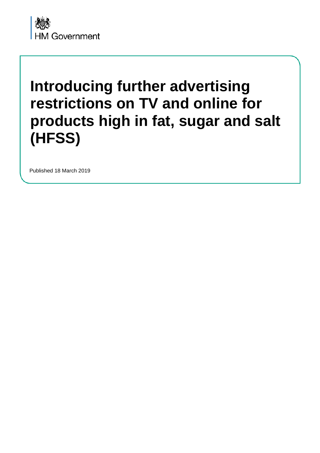

# **Introducing further advertising restrictions on TV and online for products high in fat, sugar and salt (HFSS)**

Published 18 March 2019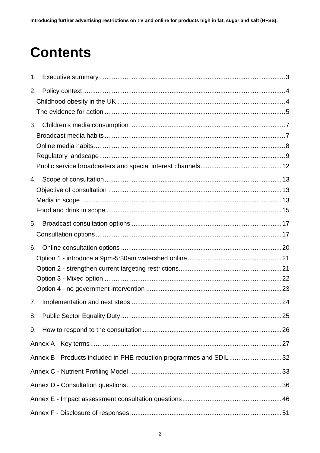# **Contents**

<span id="page-1-8"></span><span id="page-1-7"></span><span id="page-1-6"></span><span id="page-1-5"></span><span id="page-1-4"></span><span id="page-1-3"></span><span id="page-1-2"></span><span id="page-1-1"></span><span id="page-1-0"></span>

| 1. |                                                                    |  |
|----|--------------------------------------------------------------------|--|
| 2. |                                                                    |  |
|    |                                                                    |  |
|    |                                                                    |  |
| 3. |                                                                    |  |
|    |                                                                    |  |
|    |                                                                    |  |
|    |                                                                    |  |
|    |                                                                    |  |
| 4. |                                                                    |  |
|    |                                                                    |  |
|    |                                                                    |  |
|    |                                                                    |  |
| 5. |                                                                    |  |
|    |                                                                    |  |
| 6. |                                                                    |  |
|    |                                                                    |  |
|    |                                                                    |  |
|    |                                                                    |  |
|    |                                                                    |  |
| 7. |                                                                    |  |
|    |                                                                    |  |
| 9. |                                                                    |  |
|    |                                                                    |  |
|    | Annex B - Products included in PHE reduction programmes and SDIL32 |  |
|    |                                                                    |  |
|    |                                                                    |  |
|    |                                                                    |  |
|    |                                                                    |  |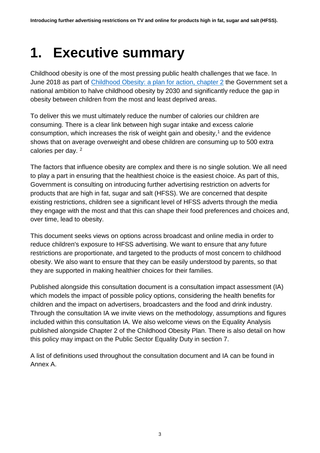# <span id="page-2-0"></span>**1. Executive summary**

<span id="page-2-1"></span>Childhood obesity is one of the most pressing public health challenges that we face. In June 2018 as part of [Childhood Obesity: a plan for action, chapter 2](https://www.gov.uk/government/publications/childhood-obesity-a-plan-for-action-chapter-2) the Government set a national ambition to halve childhood obesity by 2030 and significantly reduce the gap in obesity between children from the most and least deprived areas.

<span id="page-2-4"></span><span id="page-2-3"></span><span id="page-2-2"></span>To deliver this we must ultimately reduce the number of calories our children are consuming. There is a clear link between high sugar intake and excess calorie consumption, which increases the risk of weight gain and obesity, [1](#page-1-0) and the evidence shows that on average overweight and obese children are consuming up to 500 extra calories per day. [2](#page-1-1)

<span id="page-2-7"></span><span id="page-2-6"></span><span id="page-2-5"></span>The factors that influence obesity are complex and there is no single solution. We all need to play a part in ensuring that the healthiest choice is the easiest choice. As part of this, Government is consulting on introducing further advertising restriction on adverts for products that are high in fat, sugar and salt (HFSS). We are concerned that despite existing restrictions, children see a significant level of HFSS adverts through the media they engage with the most and that this can shape their food preferences and choices and, over time, lead to obesity.

<span id="page-2-11"></span><span id="page-2-10"></span><span id="page-2-9"></span><span id="page-2-8"></span>This document seeks views on options across broadcast and online media in order to reduce children's exposure to HFSS advertising. We want to ensure that any future restrictions are proportionate, and targeted to the products of most concern to childhood obesity. We also want to ensure that they can be easily understood by parents, so that they are supported in making healthier choices for their families.

<span id="page-2-16"></span><span id="page-2-15"></span><span id="page-2-14"></span><span id="page-2-13"></span><span id="page-2-12"></span>Published alongside this consultation document is a consultation impact assessment (IA) which models the impact of possible policy options, considering the health benefits for children and the impact on advertisers, broadcasters and the food and drink industry. Through the consultation IA we invite views on the methodology, assumptions and figures included within this consultation IA. We also welcome views on the Equality Analysis published alongside Chapter 2 of the Childhood Obesity Plan. There is also detail on how this policy may impact on the Public Sector Equality Duty in section 7.

<span id="page-2-25"></span><span id="page-2-24"></span><span id="page-2-23"></span><span id="page-2-22"></span><span id="page-2-21"></span><span id="page-2-20"></span><span id="page-2-19"></span><span id="page-2-18"></span><span id="page-2-17"></span>A list of definitions used throughout the consultation document and IA can be found in Annex A.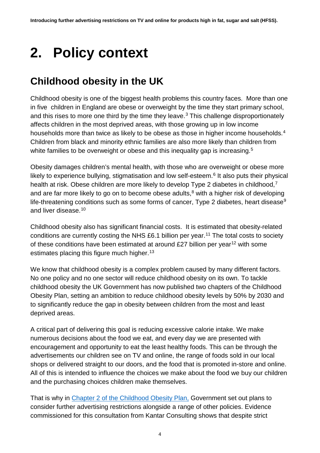# <span id="page-3-0"></span>**2. Policy context**

## <span id="page-3-2"></span><span id="page-3-1"></span>**Childhood obesity in the UK**

<span id="page-3-4"></span><span id="page-3-3"></span>Childhood obesity is one of the biggest health problems this country faces. More than one in five children in England are obese or overweight by the time they start primary school, and this rises to more one third by the time they leave.<sup>[3](#page-1-2)</sup> This challenge disproportionately affects children in the most deprived areas, with those growing up in low income households more than twice as likely to be obese as those in higher income households.<sup>[4](#page-1-3)</sup> Children from black and minority ethnic families are also more likely than children from white families to be overweight or obese and this inequality gap is increasing.<sup>[5](#page-1-4)</sup>

<span id="page-3-8"></span><span id="page-3-7"></span><span id="page-3-6"></span><span id="page-3-5"></span>Obesity damages children's mental health, with those who are overweight or obese more likely to experience bullying, stigmatisation and low self-esteem. $6$  It also puts their physical health at risk. Obese children are more likely to develop Type 2 diabetes in childhood,<sup>[7](#page-1-6)</sup> and are far more likely to go on to become obese adults, $8$  with a higher risk of developing life-threatening conditions such as some forms of cancer, Type 2 diabetes, heart disease<sup>[9](#page-1-8)</sup> and liver disease.[10](#page-2-1)

<span id="page-3-12"></span><span id="page-3-11"></span><span id="page-3-10"></span><span id="page-3-9"></span>Childhood obesity also has significant financial costs. It is estimated that obesity-related conditions are currently costing the NHS  $£6.1$  billion per year.<sup>[11](#page-2-2)</sup> The total costs to society of these conditions have been estimated at around  $£27$  billion per year<sup>[12](#page-2-3)</sup> with some estimates placing this figure much higher.<sup>[13](#page-2-4)</sup>

<span id="page-3-15"></span><span id="page-3-14"></span><span id="page-3-13"></span>We know that childhood obesity is a complex problem caused by many different factors. No one policy and no one sector will reduce childhood obesity on its own. To tackle childhood obesity the UK Government has now published two chapters of the Childhood Obesity Plan, setting an ambition to reduce childhood obesity levels by 50% by 2030 and to significantly reduce the gap in obesity between children from the most and least deprived areas.

<span id="page-3-18"></span><span id="page-3-17"></span><span id="page-3-16"></span>A critical part of delivering this goal is reducing excessive calorie intake. We make numerous decisions about the food we eat, and every day we are presented with encouragement and opportunity to eat the least healthy foods. This can be through the advertisements our children see on TV and online, the range of foods sold in our local shops or delivered straight to our doors, and the food that is promoted in-store and online. All of this is intended to influence the choices we make about the food we buy our children and the purchasing choices children make themselves.

<span id="page-3-23"></span><span id="page-3-22"></span><span id="page-3-21"></span><span id="page-3-20"></span><span id="page-3-19"></span>That is why in [Chapter 2 of the Childhood Obesity Plan,](https://www.gov.uk/government/publications/childhood-obesity-a-plan-for-action-chapter-2) Government set out plans to consider further advertising restrictions alongside a range of other policies. Evidence commissioned for this consultation from Kantar Consulting shows that despite strict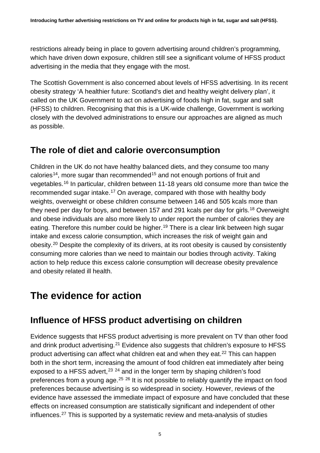restrictions already being in place to govern advertising around children's programming, which have driven down exposure, children still see a significant volume of HFSS product advertising in the media that they engage with the most.

The Scottish Government is also concerned about levels of HFSS advertising. In its recent obesity strategy 'A healthier future: Scotland's diet and healthy weight delivery plan', it called on the UK Government to act on advertising of foods high in fat, sugar and salt (HFSS) to children. Recognising that this is a UK-wide challenge, Government is working closely with the devolved administrations to ensure our approaches are aligned as much as possible.

### **The role of diet and calorie overconsumption**

Children in the UK do not have healthy balanced diets, and they consume too many calories<sup>[14](#page-2-5)</sup>, more sugar than recommended<sup>[15](#page-2-6)</sup> and not enough portions of fruit and vegetables.[16](#page-2-7) In particular, children between 11-18 years old consume more than twice the recommended sugar intake.<sup>[17](#page-2-8)</sup> On average, compared with those with healthy body weights, overweight or obese children consume between 146 and 505 kcals more than they need per day for boys, and between 157 and 291 kcals per day for girls.<sup>[18](#page-2-9)</sup> Overweight and obese individuals are also more likely to under report the number of calories they are eating. Therefore this number could be higher.<sup>[19](#page-2-10)</sup> There is a clear link between high sugar intake and excess calorie consumption, which increases the risk of weight gain and obesity.[20](#page-2-11) Despite the complexity of its drivers, at its root obesity is caused by consistently consuming more calories than we need to maintain our bodies through activity. Taking action to help reduce this excess calorie consumption will decrease obesity prevalence and obesity related ill health.

## <span id="page-4-0"></span>**The evidence for action**

### **Influence of HFSS product advertising on children**

Evidence suggests that HFSS product advertising is more prevalent on TV than other food and drink product advertising.<sup>[21](#page-2-12)</sup> Evidence also suggests that children's exposure to HFSS product advertising can affect what children eat and when they eat. [22](#page-2-13) This can happen both in the short term, increasing the amount of food children eat immediately after being exposed to a HFSS advert,  $23$   $24$  and in the longer term by shaping children's food preferences from a young age.<sup>[25](#page-2-16) [26](#page-2-17)</sup> It is not possible to reliably quantify the impact on food preferences because advertising is so widespread in society. However, reviews of the evidence have assessed the immediate impact of exposure and have concluded that these effects on increased consumption are statistically significant and independent of other influences[.27](#page-2-18) This is supported by a systematic review and meta-analysis of studies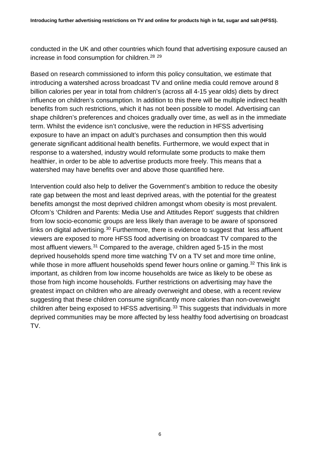conducted in the UK and other countries which found that advertising exposure caused an increase in food consumption for children. [28](#page-2-19) [29](#page-2-20)

Based on research commissioned to inform this policy consultation, we estimate that introducing a watershed across broadcast TV and online media could remove around 8 billion calories per year in total from children's (across all 4-15 year olds) diets by direct influence on children's consumption. In addition to this there will be multiple indirect health benefits from such restrictions, which it has not been possible to model. Advertising can shape children's preferences and choices gradually over time, as well as in the immediate term. Whilst the evidence isn't conclusive, were the reduction in HFSS advertising exposure to have an impact on adult's purchases and consumption then this would generate significant additional health benefits. Furthermore, we would expect that in response to a watershed, industry would reformulate some products to make them healthier, in order to be able to advertise products more freely. This means that a watershed may have benefits over and above those quantified here.

Intervention could also help to deliver the Government's ambition to reduce the obesity rate gap between the most and least deprived areas, with the potential for the greatest benefits amongst the most deprived children amongst whom obesity is most prevalent. Ofcom's 'Children and Parents: Media Use and Attitudes Report' suggests that children from low socio-economic groups are less likely than average to be aware of sponsored links on digital advertising.<sup>[30](#page-2-21)</sup> Furthermore, there is evidence to suggest that less affluent viewers are exposed to more HFSS food advertising on broadcast TV compared to the most affluent viewers.[31](#page-2-22) Compared to the average, children aged 5-15 in the most deprived households spend more time watching TV on a TV set and more time online, while those in more affluent households spend fewer hours online or gaming.<sup>[32](#page-2-23)</sup> This link is important, as children from low income households are twice as likely to be obese as those from high income households. Further restrictions on advertising may have the greatest impact on children who are already overweight and obese, with a recent review suggesting that these children consume significantly more calories than non-overweight children after being exposed to HFSS advertising.<sup>[33](#page-2-24)</sup> This suggests that individuals in more deprived communities may be more affected by less healthy food advertising on broadcast TV.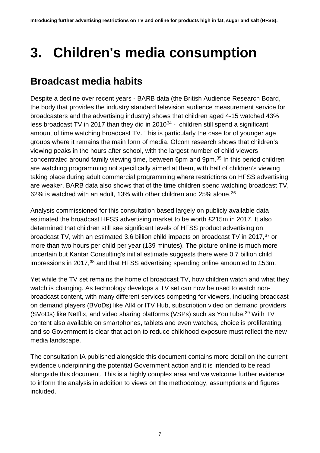# <span id="page-6-0"></span>**3. Children's media consumption**

### <span id="page-6-1"></span>**Broadcast media habits**

Despite a decline over recent years - BARB data (the British Audience Research Board, the body that provides the industry standard television audience measurement service for broadcasters and the advertising industry) shows that children aged 4-15 watched 43% less broadcast TV in 2017 than they did in  $2010^{34}$  $2010^{34}$  $2010^{34}$  - children still spend a significant amount of time watching broadcast TV. This is particularly the case for of younger age groups where it remains the main form of media. Ofcom research shows that children's viewing peaks in the hours after school, with the largest number of child viewers concentrated around family viewing time, between 6pm and 9pm.[35](#page-3-2) In this period children are watching programming not specifically aimed at them, with half of children's viewing taking place during adult commercial programming where restrictions on HFSS advertising are weaker. BARB data also shows that of the time children spend watching broadcast TV, 62% is watched with an adult, 13% with other children and 25% alone.<sup>[36](#page-3-3)</sup>

Analysis commissioned for this consultation based largely on publicly available data estimated the broadcast HFSS advertising market to be worth £215m in 2017. It also determined that children still see significant levels of HFSS product advertising on broadcast TV, with an estimated 3.6 billion child impacts on broadcast TV in 2017,[37](#page-3-4) or more than two hours per child per year (139 minutes). The picture online is much more uncertain but Kantar Consulting's initial estimate suggests there were 0.7 billion child impressions in 2017,<sup>[38](#page-3-5)</sup> and that HFSS advertising spending online amounted to £53m.

Yet while the TV set remains the home of broadcast TV, how children watch and what they watch is changing. As technology develops a TV set can now be used to watch nonbroadcast content, with many different services competing for viewers, including broadcast on demand players (BVoDs) like All4 or ITV Hub, subscription video on demand providers (SVoDs) like Netflix, and video sharing platforms (VSPs) such as YouTube.<sup>[39](#page-3-6)</sup> With TV content also available on smartphones, tablets and even watches, choice is proliferating, and so Government is clear that action to reduce childhood exposure must reflect the new media landscape.

The consultation IA published alongside this document contains more detail on the current evidence underpinning the potential Government action and it is intended to be read alongside this document. This is a highly complex area and we welcome further evidence to inform the analysis in addition to views on the methodology, assumptions and figures included.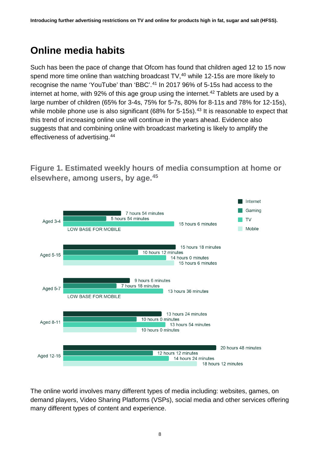## <span id="page-7-0"></span>**Online media habits**

Such has been the pace of change that Ofcom has found that children aged 12 to 15 now spend more time online than watching broadcast  $TV$ ,  $40$  while 12-15s are more likely to recognise the name 'YouTube' than 'BBC'.<sup>[41](#page-3-8)</sup> In 2017 96% of 5-15s had access to the internet at home, with 92% of this age group using the internet.<sup>[42](#page-3-9)</sup> Tablets are used by a large number of children (65% for 3-4s, 75% for 5-7s, 80% for 8-11s and 78% for 12-15s), while mobile phone use is also significant  $(68\%$  for 5-15s).<sup>[43](#page-3-10)</sup> It is reasonable to expect that this trend of increasing online use will continue in the years ahead. Evidence also suggests that and combining online with broadcast marketing is likely to amplify the effectiveness of advertising.[44](#page-3-11)

Internet Gaming 7 hours 54 minutes 5 hours 54 minutes **TV** Aged 3-4 15 hours 6 minutes **Mobile** LOW BASE FOR MOBILE 15 hours 18 minutes 10 hours 12 minutes Aged 5-15 14 hours 0 minutes 15 hours 6 minutes 9 hours 6 minutes 7 hours 18 minutes Aged 5-7 13 hours 36 minutes **LOW BASE FOR MOBILE** 13 hours 24 minutes 10 hours 0 minutes **Aged 8-11** 13 hours 54 minutes 10 hours 0 minutes 20 hours 48 minutes 12 hours 12 minutes Aged 12-15 14 hours 24 minutes 18 hours 12 minutes

**Figure 1. Estimated weekly hours of media consumption at home or elsewhere, among users, by age.[45](#page-3-12)**

The online world involves many different types of media including: websites, games, on demand players, Video Sharing Platforms (VSPs), social media and other services offering many different types of content and experience.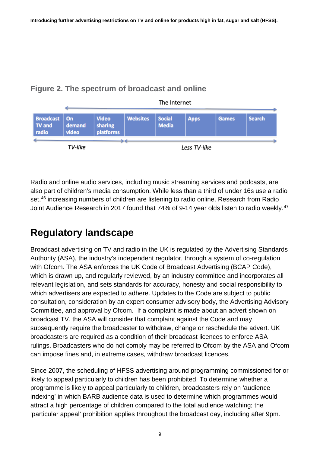### **Figure 2. The spectrum of broadcast and online**



Radio and online audio services, including music streaming services and podcasts, are also part of children's media consumption. While less than a third of under 16s use a radio set,<sup>46</sup> increasing numbers of children are listening to radio online. Research from Radio Joint Audience Research in 2017 found that 74% of 9-14 year olds listen to radio weekly.<sup>[47](#page-3-14)</sup>

## <span id="page-8-0"></span>**Regulatory landscape**

Broadcast advertising on TV and radio in the UK is regulated by the Advertising Standards Authority (ASA), the industry's independent regulator, through a system of co-regulation with Ofcom. The ASA enforces the UK Code of Broadcast Advertising (BCAP Code), which is drawn up, and regularly reviewed, by an industry committee and incorporates all relevant legislation, and sets standards for accuracy, honesty and social responsibility to which advertisers are expected to adhere. Updates to the Code are subject to public consultation, consideration by an expert consumer advisory body, the Advertising Advisory Committee, and approval by Ofcom. If a complaint is made about an advert shown on broadcast TV, the ASA will consider that complaint against the Code and may subsequently require the broadcaster to withdraw, change or reschedule the advert. UK broadcasters are required as a condition of their broadcast licences to enforce ASA rulings. Broadcasters who do not comply may be referred to Ofcom by the ASA and Ofcom can impose fines and, in extreme cases, withdraw broadcast licences.

Since 2007, the scheduling of HFSS advertising around programming commissioned for or likely to appeal particularly to children has been prohibited. To determine whether a programme is likely to appeal particularly to children, broadcasters rely on 'audience indexing' in which BARB audience data is used to determine which programmes would attract a high percentage of children compared to the total audience watching; the 'particular appeal' prohibition applies throughout the broadcast day, including after 9pm.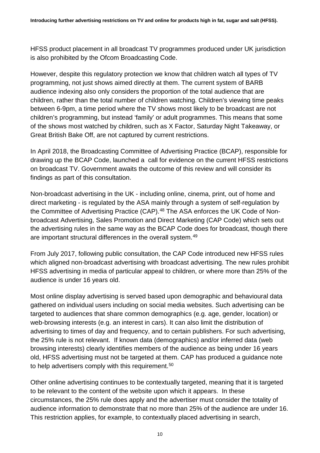HFSS product placement in all broadcast TV programmes produced under UK jurisdiction is also prohibited by the Ofcom Broadcasting Code.

However, despite this regulatory protection we know that children watch all types of TV programming, not just shows aimed directly at them. The current system of BARB audience indexing also only considers the proportion of the total audience that are children, rather than the total number of children watching. Children's viewing time peaks between 6-9pm, a time period where the TV shows most likely to be broadcast are not children's programming, but instead 'family' or adult programmes. This means that some of the shows most watched by children, such as X Factor, Saturday Night Takeaway, or Great British Bake Off, are not captured by current restrictions.

In April 2018, the Broadcasting Committee of Advertising Practice (BCAP), responsible for drawing up the BCAP Code, launched a call for evidence on the current HFSS restrictions on broadcast TV. Government awaits the outcome of this review and will consider its findings as part of this consultation.

Non-broadcast advertising in the UK - including online, cinema, print, out of home and direct marketing - is regulated by the ASA mainly through a system of self-regulation by the Committee of Advertising Practice (CAP).<sup>[48](#page-3-15)</sup> The ASA enforces the UK Code of Nonbroadcast Advertising, Sales Promotion and Direct Marketing (CAP Code) which sets out the advertising rules in the same way as the BCAP Code does for broadcast, though there are important structural differences in the overall system.[49](#page-3-16)

From July 2017, following public consultation, the CAP Code introduced new HFSS rules which aligned non-broadcast advertising with broadcast advertising. The new rules prohibit HFSS advertising in media of particular appeal to children, or where more than 25% of the audience is under 16 years old.

Most online display advertising is served based upon demographic and behavioural data gathered on individual users including on social media websites. Such advertising can be targeted to audiences that share common demographics (e.g. age, gender, location) or web-browsing interests (e.g. an interest in cars). It can also limit the distribution of advertising to times of day and frequency, and to certain publishers. For such advertising, the 25% rule is not relevant. If known data (demographics) and/or inferred data (web browsing interests) clearly identifies members of the audience as being under 16 years old, HFSS advertising must not be targeted at them. CAP has produced a guidance note to help advertisers comply with this requirement.<sup>[50](#page-3-17)</sup>

Other online advertising continues to be contextually targeted, meaning that it is targeted to be relevant to the content of the website upon which it appears. In these circumstances, the 25% rule does apply and the advertiser must consider the totality of audience information to demonstrate that no more than 25% of the audience are under 16. This restriction applies, for example, to contextually placed advertising in search,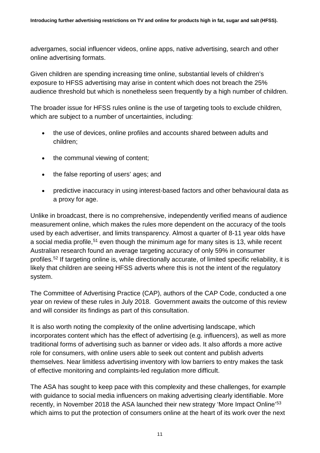advergames, social influencer videos, online apps, native advertising, search and other online advertising formats.

Given children are spending increasing time online, substantial levels of children's exposure to HFSS advertising may arise in content which does not breach the 25% audience threshold but which is nonetheless seen frequently by a high number of children.

The broader issue for HFSS rules online is the use of targeting tools to exclude children, which are subject to a number of uncertainties, including:

- the use of devices, online profiles and accounts shared between adults and children;
- the communal viewing of content;
- the false reporting of users' ages; and
- predictive inaccuracy in using interest-based factors and other behavioural data as a proxy for age.

Unlike in broadcast, there is no comprehensive, independently verified means of audience measurement online, which makes the rules more dependent on the accuracy of the tools used by each advertiser, and limits transparency. Almost a quarter of 8-11 year olds have a social media profile,<sup>[51](#page-3-18)</sup> even though the minimum age for many sites is 13, while recent Australian research found an average targeting accuracy of only 59% in consumer profiles.[52](#page-3-19) If targeting online is, while directionally accurate, of limited specific reliability, it is likely that children are seeing HFSS adverts where this is not the intent of the regulatory system.

The Committee of Advertising Practice (CAP), authors of the CAP Code, conducted a one year on review of these rules in July 2018. Government awaits the outcome of this review and will consider its findings as part of this consultation.

It is also worth noting the complexity of the online advertising landscape, which incorporates content which has the effect of advertising (e.g. influencers), as well as more traditional forms of advertising such as banner or video ads. It also affords a more active role for consumers, with online users able to seek out content and publish adverts themselves. Near limitless advertising inventory with low barriers to entry makes the task of effective monitoring and complaints-led regulation more difficult.

The ASA has sought to keep pace with this complexity and these challenges, for example with guidance to social media influencers on making advertising clearly identifiable. More recently, in November 2018 the ASA launched their new strategy 'More Impact Online'<sup>[53](#page-3-20)</sup> which aims to put the protection of consumers online at the heart of its work over the next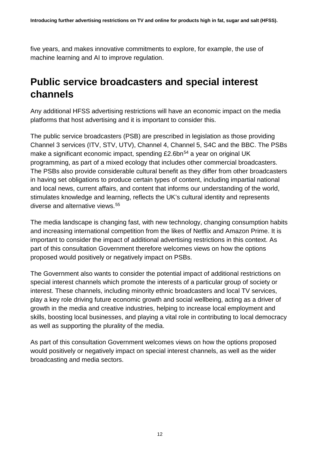five years, and makes innovative commitments to explore, for example, the use of machine learning and AI to improve regulation.

### <span id="page-11-0"></span>**Public service broadcasters and special interest channels**

Any additional HFSS advertising restrictions will have an economic impact on the media platforms that host advertising and it is important to consider this.

The public service broadcasters (PSB) are prescribed in legislation as those providing Channel 3 services (ITV, STV, UTV), Channel 4, Channel 5, S4C and the BBC. The PSBs make a significant economic impact, spending £2.6bn<sup>[54](#page-3-21)</sup> a year on original UK programming, as part of a mixed ecology that includes other commercial broadcasters. The PSBs also provide considerable cultural benefit as they differ from other broadcasters in having set obligations to produce certain types of content, including impartial national and local news, current affairs, and content that informs our understanding of the world, stimulates knowledge and learning, reflects the UK's cultural identity and represents diverse and alternative views.<sup>[55](#page-3-22)</sup>

The media landscape is changing fast, with new technology, changing consumption habits and increasing international competition from the likes of Netflix and Amazon Prime. It is important to consider the impact of additional advertising restrictions in this context. As part of this consultation Government therefore welcomes views on how the options proposed would positively or negatively impact on PSBs.

The Government also wants to consider the potential impact of additional restrictions on special interest channels which promote the interests of a particular group of society or interest. These channels, including minority ethnic broadcasters and local TV services, play a key role driving future economic growth and social wellbeing, acting as a driver of growth in the media and creative industries, helping to increase local employment and skills, boosting local businesses, and playing a vital role in contributing to local democracy as well as supporting the plurality of the media.

As part of this consultation Government welcomes views on how the options proposed would positively or negatively impact on special interest channels, as well as the wider broadcasting and media sectors.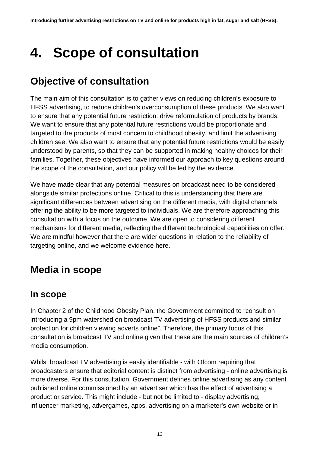# <span id="page-12-0"></span>**4. Scope of consultation**

## <span id="page-12-1"></span>**Objective of consultation**

The main aim of this consultation is to gather views on reducing children's exposure to HFSS advertising, to reduce children's overconsumption of these products. We also want to ensure that any potential future restriction: drive reformulation of products by brands. We want to ensure that any potential future restrictions would be proportionate and targeted to the products of most concern to childhood obesity, and limit the advertising children see. We also want to ensure that any potential future restrictions would be easily understood by parents, so that they can be supported in making healthy choices for their families. Together, these objectives have informed our approach to key questions around the scope of the consultation, and our policy will be led by the evidence.

We have made clear that any potential measures on broadcast need to be considered alongside similar protections online. Critical to this is understanding that there are significant differences between advertising on the different media, with digital channels offering the ability to be more targeted to individuals. We are therefore approaching this consultation with a focus on the outcome. We are open to considering different mechanisms for different media, reflecting the different technological capabilities on offer. We are mindful however that there are wider questions in relation to the reliability of targeting online, and we welcome evidence here.

### <span id="page-12-2"></span>**Media in scope**

### **In scope**

In Chapter 2 of the Childhood Obesity Plan, the Government committed to "consult on introducing a 9pm watershed on broadcast TV advertising of HFSS products and similar protection for children viewing adverts online". Therefore, the primary focus of this consultation is broadcast TV and online given that these are the main sources of children's media consumption.

Whilst broadcast TV advertising is easily identifiable - with Ofcom requiring that broadcasters ensure that editorial content is distinct from advertising - online advertising is more diverse. For this consultation, Government defines online advertising as any content published online commissioned by an advertiser which has the effect of advertising a product or service. This might include - but not be limited to - display advertising, influencer marketing, advergames, apps, advertising on a marketer's own website or in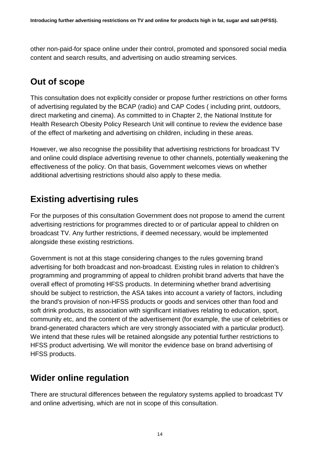other non-paid-for space online under their control, promoted and sponsored social media content and search results, and advertising on audio streaming services.

### **Out of scope**

This consultation does not explicitly consider or propose further restrictions on other forms of advertising regulated by the BCAP (radio) and CAP Codes ( including print, outdoors, direct marketing and cinema). As committed to in Chapter 2, the National Institute for Health Research Obesity Policy Research Unit will continue to review the evidence base of the effect of marketing and advertising on children, including in these areas.

However, we also recognise the possibility that advertising restrictions for broadcast TV and online could displace advertising revenue to other channels, potentially weakening the effectiveness of the policy. On that basis, Government welcomes views on whether additional advertising restrictions should also apply to these media.

### **Existing advertising rules**

For the purposes of this consultation Government does not propose to amend the current advertising restrictions for programmes directed to or of particular appeal to children on broadcast TV. Any further restrictions, if deemed necessary, would be implemented alongside these existing restrictions.

Government is not at this stage considering changes to the rules governing brand advertising for both broadcast and non-broadcast. Existing rules in relation to children's programming and programming of appeal to children prohibit brand adverts that have the overall effect of promoting HFSS products. In determining whether brand advertising should be subject to restriction, the ASA takes into account a variety of factors, including the brand's provision of non-HFSS products or goods and services other than food and soft drink products, its association with significant initiatives relating to education, sport, community etc, and the content of the advertisement (for example, the use of celebrities or brand-generated characters which are very strongly associated with a particular product). We intend that these rules will be retained alongside any potential further restrictions to HFSS product advertising. We will monitor the evidence base on brand advertising of HFSS products.

### **Wider online regulation**

There are structural differences between the regulatory systems applied to broadcast TV and online advertising, which are not in scope of this consultation.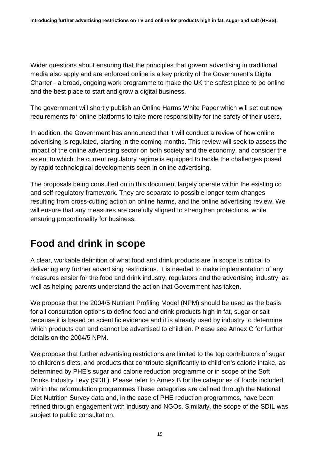Wider questions about ensuring that the principles that govern advertising in traditional media also apply and are enforced online is a key priority of the Government's Digital Charter - a broad, ongoing work programme to make the UK the safest place to be online and the best place to start and grow a digital business.

The government will shortly publish an Online Harms White Paper which will set out new requirements for online platforms to take more responsibility for the safety of their users.

In addition, the Government has announced that it will conduct a review of how online advertising is regulated, starting in the coming months. This review will seek to assess the impact of the online advertising sector on both society and the economy, and consider the extent to which the current regulatory regime is equipped to tackle the challenges posed by rapid technological developments seen in online advertising.

The proposals being consulted on in this document largely operate within the existing co and self-regulatory framework. They are separate to possible longer-term changes resulting from cross-cutting action on online harms, and the online advertising review. We will ensure that any measures are carefully aligned to strengthen protections, while ensuring proportionality for business.

## <span id="page-14-0"></span>**Food and drink in scope**

A clear, workable definition of what food and drink products are in scope is critical to delivering any further advertising restrictions. It is needed to make implementation of any measures easier for the food and drink industry, regulators and the advertising industry, as well as helping parents understand the action that Government has taken.

We propose that the 2004/5 Nutrient Profiling Model (NPM) should be used as the basis for all consultation options to define food and drink products high in fat, sugar or salt because it is based on scientific evidence and it is already used by industry to determine which products can and cannot be advertised to children. Please see Annex C for further details on the 2004/5 NPM.

We propose that further advertising restrictions are limited to the top contributors of sugar to children's diets, and products that contribute significantly to children's calorie intake, as determined by PHE's sugar and calorie reduction programme or in scope of the Soft Drinks Industry Levy (SDIL). Please refer to Annex B for the categories of foods included within the reformulation programmes These categories are defined through the National Diet Nutrition Survey data and, in the case of PHE reduction programmes, have been refined through engagement with industry and NGOs. Similarly, the scope of the SDIL was subject to public consultation.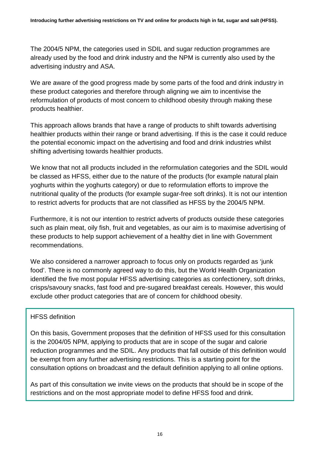The 2004/5 NPM, the categories used in SDIL and sugar reduction programmes are already used by the food and drink industry and the NPM is currently also used by the advertising industry and ASA.

We are aware of the good progress made by some parts of the food and drink industry in these product categories and therefore through aligning we aim to incentivise the reformulation of products of most concern to childhood obesity through making these products healthier.

This approach allows brands that have a range of products to shift towards advertising healthier products within their range or brand advertising. If this is the case it could reduce the potential economic impact on the advertising and food and drink industries whilst shifting advertising towards healthier products.

We know that not all products included in the reformulation categories and the SDIL would be classed as HFSS, either due to the nature of the products (for example natural plain yoghurts within the yoghurts category) or due to reformulation efforts to improve the nutritional quality of the products (for example sugar-free soft drinks). It is not our intention to restrict adverts for products that are not classified as HFSS by the 2004/5 NPM.

Furthermore, it is not our intention to restrict adverts of products outside these categories such as plain meat, oily fish, fruit and vegetables, as our aim is to maximise advertising of these products to help support achievement of a healthy diet in line with Government recommendations.

We also considered a narrower approach to focus only on products regarded as 'junk food'. There is no commonly agreed way to do this, but the World Health Organization identified the five most popular HFSS advertising categories as confectionery, soft drinks, crisps/savoury snacks, fast food and pre-sugared breakfast cereals. However, this would exclude other product categories that are of concern for childhood obesity.

### HFSS definition

On this basis, Government proposes that the definition of HFSS used for this consultation is the 2004/05 NPM, applying to products that are in scope of the sugar and calorie reduction programmes and the SDIL. Any products that fall outside of this definition would be exempt from any further advertising restrictions. This is a starting point for the consultation options on broadcast and the default definition applying to all online options.

As part of this consultation we invite views on the products that should be in scope of the restrictions and on the most appropriate model to define HFSS food and drink.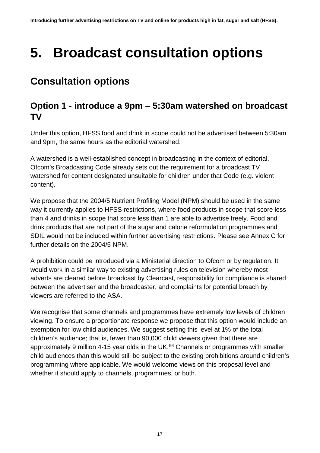# <span id="page-16-0"></span>**5. Broadcast consultation options**

## <span id="page-16-1"></span>**Consultation options**

### **Option 1 - introduce a 9pm – 5:30am watershed on broadcast TV**

Under this option, HFSS food and drink in scope could not be advertised between 5:30am and 9pm, the same hours as the editorial watershed.

A watershed is a well-established concept in broadcasting in the context of editorial. Ofcom's Broadcasting Code already sets out the requirement for a broadcast TV watershed for content designated unsuitable for children under that Code (e.g. violent content).

We propose that the 2004/5 Nutrient Profiling Model (NPM) should be used in the same way it currently applies to HFSS restrictions, where food products in scope that score less than 4 and drinks in scope that score less than 1 are able to advertise freely. Food and drink products that are not part of the sugar and calorie reformulation programmes and SDIL would not be included within further advertising restrictions. Please see Annex C for further details on the 2004/5 NPM.

A prohibition could be introduced via a Ministerial direction to Ofcom or by regulation. It would work in a similar way to existing advertising rules on television whereby most adverts are cleared before broadcast by Clearcast, responsibility for compliance is shared between the advertiser and the broadcaster, and complaints for potential breach by viewers are referred to the ASA.

We recognise that some channels and programmes have extremely low levels of children viewing. To ensure a proportionate response we propose that this option would include an exemption for low child audiences. We suggest setting this level at 1% of the total children's audience; that is, fewer than 90,000 child viewers given that there are approximately 9 million 4-15 year olds in the UK.<sup>[56](#page-3-23)</sup> Channels or programmes with smaller child audiences than this would still be subject to the existing prohibitions around children's programming where applicable. We would welcome views on this proposal level and whether it should apply to channels, programmes, or both.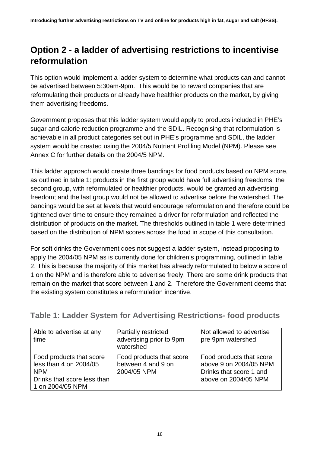### **Option 2 - a ladder of advertising restrictions to incentivise reformulation**

This option would implement a ladder system to determine what products can and cannot be advertised between 5:30am-9pm. This would be to reward companies that are reformulating their products or already have healthier products on the market, by giving them advertising freedoms.

Government proposes that this ladder system would apply to products included in PHE's sugar and calorie reduction programme and the SDIL. Recognising that reformulation is achievable in all product categories set out in PHE's programme and SDIL, the ladder system would be created using the 2004/5 Nutrient Profiling Model (NPM). Please see Annex C for further details on the 2004/5 NPM.

This ladder approach would create three bandings for food products based on NPM score, as outlined in table 1: products in the first group would have full advertising freedoms; the second group, with reformulated or healthier products, would be granted an advertising freedom; and the last group would not be allowed to advertise before the watershed. The bandings would be set at levels that would encourage reformulation and therefore could be tightened over time to ensure they remained a driver for reformulation and reflected the distribution of products on the market. The thresholds outlined in table 1 were determined based on the distribution of NPM scores across the food in scope of this consultation.

For soft drinks the Government does not suggest a ladder system, instead proposing to apply the 2004/05 NPM as is currently done for children's programming, outlined in table 2. This is because the majority of this market has already reformulated to below a score of 1 on the NPM and is therefore able to advertise freely. There are some drink products that remain on the market that score between 1 and 2. Therefore the Government deems that the existing system constitutes a reformulation incentive.

**Table 1: Ladder System for Advertising Restrictions- food products** 

| Able to advertise at any<br>time                                                                                    | <b>Partially restricted</b><br>advertising prior to 9pm<br>watershed | Not allowed to advertise<br>pre 9pm watershed                                                         |
|---------------------------------------------------------------------------------------------------------------------|----------------------------------------------------------------------|-------------------------------------------------------------------------------------------------------|
| Food products that score<br>less than 4 on 2004/05<br><b>NPM</b><br>Drinks that score less than<br>1 on 2004/05 NPM | Food products that score<br>between 4 and 9 on<br>2004/05 NPM        | Food products that score<br>above 9 on 2004/05 NPM<br>Drinks that score 1 and<br>above on 2004/05 NPM |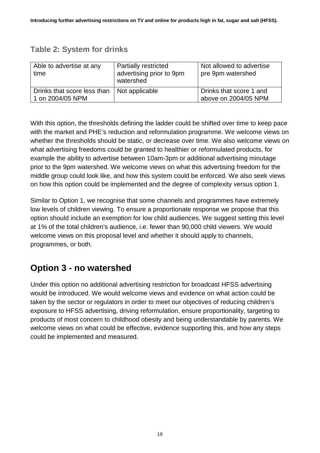### **Table 2: System for drinks**

| Able to advertise at any<br>time                | <b>Partially restricted</b><br>advertising prior to 9pm<br>watershed | Not allowed to advertise<br>pre 9pm watershed   |
|-------------------------------------------------|----------------------------------------------------------------------|-------------------------------------------------|
| Drinks that score less than<br>1 on 2004/05 NPM | Not applicable                                                       | Drinks that score 1 and<br>above on 2004/05 NPM |

With this option, the thresholds defining the ladder could be shifted over time to keep pace with the market and PHE's reduction and reformulation programme. We welcome views on whether the thresholds should be static, or decrease over time. We also welcome views on what advertising freedoms could be granted to healthier or reformulated products, for example the ability to advertise between 10am-3pm or additional advertising minutage prior to the 9pm watershed. We welcome views on what this advertising freedom for the middle group could look like, and how this system could be enforced. We also seek views on how this option could be implemented and the degree of complexity versus option 1.

Similar to Option 1, we recognise that some channels and programmes have extremely low levels of children viewing. To ensure a proportionate response we propose that this option should include an exemption for low child audiences. We suggest setting this level at 1% of the total children's audience, i.e. fewer than 90,000 child viewers. We would welcome views on this proposal level and whether it should apply to channels, programmes, or both.

### **Option 3 - no watershed**

Under this option no additional advertising restriction for broadcast HFSS advertising would be introduced. We would welcome views and evidence on what action could be taken by the sector or regulators in order to meet our objectives of reducing children's exposure to HFSS advertising, driving reformulation, ensure proportionality, targeting to products of most concern to childhood obesity and being understandable by parents. We welcome views on what could be effective, evidence supporting this, and how any steps could be implemented and measured.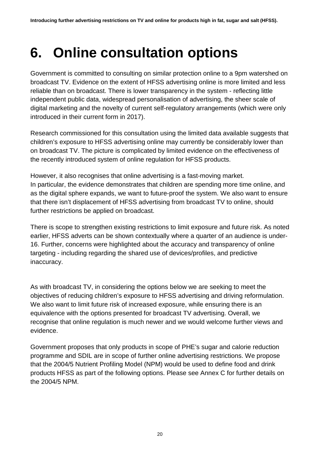# <span id="page-19-0"></span>**6. Online consultation options**

Government is committed to consulting on similar protection online to a 9pm watershed on broadcast TV. Evidence on the extent of HFSS advertising online is more limited and less reliable than on broadcast. There is lower transparency in the system - reflecting little independent public data, widespread personalisation of advertising, the sheer scale of digital marketing and the novelty of current self-regulatory arrangements (which were only introduced in their current form in 2017).

Research commissioned for this consultation using the limited data available suggests that children's exposure to HFSS advertising online may currently be considerably lower than on broadcast TV. The picture is complicated by limited evidence on the effectiveness of the recently introduced system of online regulation for HFSS products.

However, it also recognises that online advertising is a fast-moving market. In particular, the evidence demonstrates that children are spending more time online, and as the digital sphere expands, we want to future-proof the system. We also want to ensure that there isn't displacement of HFSS advertising from broadcast TV to online, should further restrictions be applied on broadcast.

There is scope to strengthen existing restrictions to limit exposure and future risk. As noted earlier, HFSS adverts can be shown contextually where a quarter of an audience is under-16. Further, concerns were highlighted about the accuracy and transparency of online targeting - including regarding the shared use of devices/profiles, and predictive inaccuracy.

As with broadcast TV, in considering the options below we are seeking to meet the objectives of reducing children's exposure to HFSS advertising and driving reformulation. We also want to limit future risk of increased exposure, while ensuring there is an equivalence with the options presented for broadcast TV advertising. Overall, we recognise that online regulation is much newer and we would welcome further views and evidence.

Government proposes that only products in scope of PHE's sugar and calorie reduction programme and SDIL are in scope of further online advertising restrictions. We propose that the 2004/5 Nutrient Profiling Model (NPM) would be used to define food and drink products HFSS as part of the following options. Please see Annex C for further details on the 2004/5 NPM.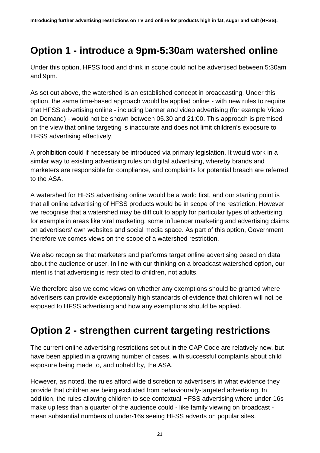### <span id="page-20-0"></span>**Option 1 - introduce a 9pm-5:30am watershed online**

Under this option, HFSS food and drink in scope could not be advertised between 5:30am and 9pm.

As set out above, the watershed is an established concept in broadcasting. Under this option, the same time-based approach would be applied online - with new rules to require that HFSS advertising online - including banner and video advertising (for example Video on Demand) - would not be shown between 05.30 and 21:00. This approach is premised on the view that online targeting is inaccurate and does not limit children's exposure to HFSS advertising effectively,

A prohibition could if necessary be introduced via primary legislation. It would work in a similar way to existing advertising rules on digital advertising, whereby brands and marketers are responsible for compliance, and complaints for potential breach are referred to the ASA.

A watershed for HFSS advertising online would be a world first, and our starting point is that all online advertising of HFSS products would be in scope of the restriction. However, we recognise that a watershed may be difficult to apply for particular types of advertising, for example in areas like viral marketing, some influencer marketing and advertising claims on advertisers' own websites and social media space. As part of this option, Government therefore welcomes views on the scope of a watershed restriction.

We also recognise that marketers and platforms target online advertising based on data about the audience or user. In line with our thinking on a broadcast watershed option, our intent is that advertising is restricted to children, not adults.

We therefore also welcome views on whether any exemptions should be granted where advertisers can provide exceptionally high standards of evidence that children will not be exposed to HFSS advertising and how any exemptions should be applied.

### <span id="page-20-1"></span>**Option 2 - strengthen current targeting restrictions**

The current online advertising restrictions set out in the CAP Code are relatively new, but have been applied in a growing number of cases, with successful complaints about child exposure being made to, and upheld by, the ASA.

However, as noted, the rules afford wide discretion to advertisers in what evidence they provide that children are being excluded from behaviourally-targeted advertising. In addition, the rules allowing children to see contextual HFSS advertising where under-16s make up less than a quarter of the audience could - like family viewing on broadcast mean substantial numbers of under-16s seeing HFSS adverts on popular sites.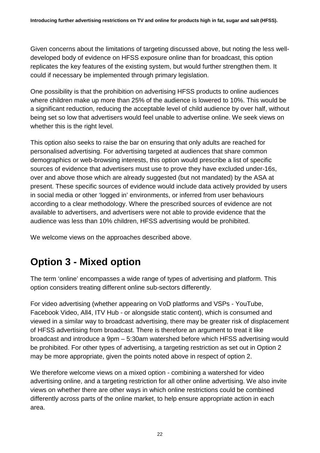Given concerns about the limitations of targeting discussed above, but noting the less welldeveloped body of evidence on HFSS exposure online than for broadcast, this option replicates the key features of the existing system, but would further strengthen them. It could if necessary be implemented through primary legislation.

One possibility is that the prohibition on advertising HFSS products to online audiences where children make up more than 25% of the audience is lowered to 10%. This would be a significant reduction, reducing the acceptable level of child audience by over half, without being set so low that advertisers would feel unable to advertise online. We seek views on whether this is the right level.

This option also seeks to raise the bar on ensuring that only adults are reached for personalised advertising. For advertising targeted at audiences that share common demographics or web-browsing interests, this option would prescribe a list of specific sources of evidence that advertisers must use to prove they have excluded under-16s, over and above those which are already suggested (but not mandated) by the ASA at present. These specific sources of evidence would include data actively provided by users in social media or other 'logged in' environments, or inferred from user behaviours according to a clear methodology. Where the prescribed sources of evidence are not available to advertisers, and advertisers were not able to provide evidence that the audience was less than 10% children, HFSS advertising would be prohibited.

We welcome views on the approaches described above.

## <span id="page-21-0"></span>**Option 3 - Mixed option**

The term 'online' encompasses a wide range of types of advertising and platform. This option considers treating different online sub-sectors differently.

For video advertising (whether appearing on VoD platforms and VSPs - YouTube, Facebook Video, All4, ITV Hub - or alongside static content), which is consumed and viewed in a similar way to broadcast advertising, there may be greater risk of displacement of HFSS advertising from broadcast. There is therefore an argument to treat it like broadcast and introduce a 9pm – 5:30am watershed before which HFSS advertising would be prohibited. For other types of advertising, a targeting restriction as set out in Option 2 may be more appropriate, given the points noted above in respect of option 2.

We therefore welcome views on a mixed option - combining a watershed for video advertising online, and a targeting restriction for all other online advertising. We also invite views on whether there are other ways in which online restrictions could be combined differently across parts of the online market, to help ensure appropriate action in each area.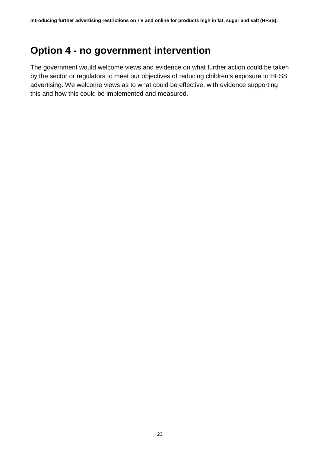### <span id="page-22-0"></span>**Option 4 - no government intervention**

The government would welcome views and evidence on what further action could be taken by the sector or regulators to meet our objectives of reducing children's exposure to HFSS advertising. We welcome views as to what could be effective, with evidence supporting this and how this could be implemented and measured.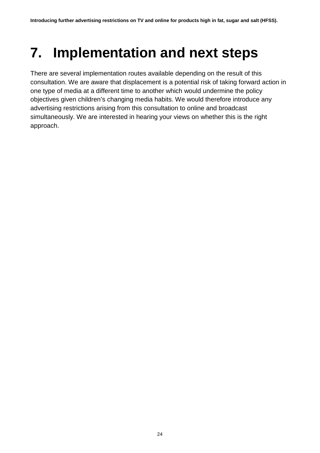# <span id="page-23-0"></span>**7. Implementation and next steps**

There are several implementation routes available depending on the result of this consultation. We are aware that displacement is a potential risk of taking forward action in one type of media at a different time to another which would undermine the policy objectives given children's changing media habits. We would therefore introduce any advertising restrictions arising from this consultation to online and broadcast simultaneously. We are interested in hearing your views on whether this is the right approach.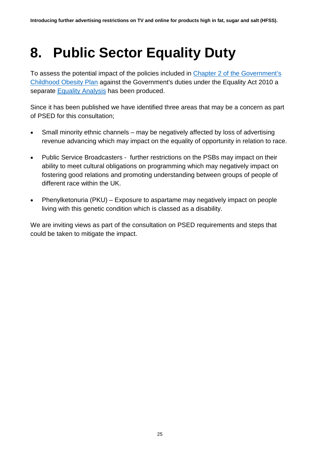## <span id="page-24-0"></span>**8. Public Sector Equality Duty**

To assess the potential impact of the policies included in [Chapter 2 of the Government's](https://www.gov.uk/government/publications/childhood-obesity-a-plan-for-action-chapter-2)  [Childhood Obesity Plan](https://www.gov.uk/government/publications/childhood-obesity-a-plan-for-action-chapter-2) against the Government's duties under the Equality Act 2010 a separate **Equality Analysis** has been produced.

Since it has been published we have identified three areas that may be a concern as part of PSED for this consultation;

- Small minority ethnic channels may be negatively affected by loss of advertising revenue advancing which may impact on the equality of opportunity in relation to race.
- Public Service Broadcasters further restrictions on the PSBs may impact on their ability to meet cultural obligations on programming which may negatively impact on fostering good relations and promoting understanding between groups of people of different race within the UK.
- Phenylketonuria (PKU) Exposure to aspartame may negatively impact on people living with this genetic condition which is classed as a disability.

We are inviting views as part of the consultation on PSED requirements and steps that could be taken to mitigate the impact.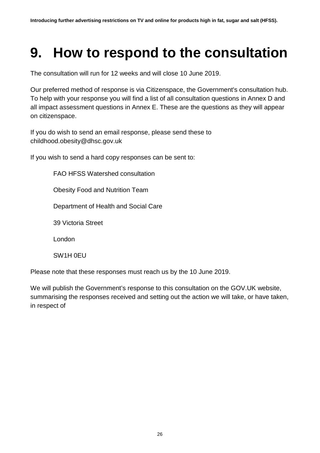## <span id="page-25-0"></span>**9. How to respond to the consultation**

The consultation will run for 12 weeks and will close 10 June 2019.

Our preferred method of response is via Citizenspace, the Government's consultation hub. To help with your response you will find a list of all consultation questions in Annex D and all impact assessment questions in Annex E. These are the questions as they will appear on citizenspace.

If you do wish to send an email response, please send these to childhood.[obesity@dhsc.gov.uk](mailto:childhood.obesity@dhsc.gov.uk)

If you wish to send a hard copy responses can be sent to:

FAO HFSS Watershed consultation

Obesity Food and Nutrition Team

Department of Health and Social Care

39 Victoria Street

London

SW1H 0EU

Please note that these responses must reach us by the 10 June 2019.

We will publish the Government's response to this consultation on the [GOV.UK](http://gov.uk/) website, summarising the responses received and setting out the action we will take, or have taken, in respect of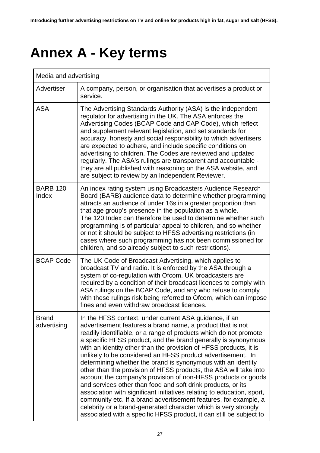# <span id="page-26-0"></span>**Annex A - Key terms**

| Media and advertising       |                                                                                                                                                                                                                                                                                                                                                                                                                                                                                                                                                                                                                                                                                                                                                                                                                                                                                                                                                               |  |  |  |
|-----------------------------|---------------------------------------------------------------------------------------------------------------------------------------------------------------------------------------------------------------------------------------------------------------------------------------------------------------------------------------------------------------------------------------------------------------------------------------------------------------------------------------------------------------------------------------------------------------------------------------------------------------------------------------------------------------------------------------------------------------------------------------------------------------------------------------------------------------------------------------------------------------------------------------------------------------------------------------------------------------|--|--|--|
| Advertiser                  | A company, person, or organisation that advertises a product or<br>service.                                                                                                                                                                                                                                                                                                                                                                                                                                                                                                                                                                                                                                                                                                                                                                                                                                                                                   |  |  |  |
| <b>ASA</b>                  | The Advertising Standards Authority (ASA) is the independent<br>regulator for advertising in the UK. The ASA enforces the<br>Advertising Codes (BCAP Code and CAP Code), which reflect<br>and supplement relevant legislation, and set standards for<br>accuracy, honesty and social responsibility to which advertisers<br>are expected to adhere, and include specific conditions on<br>advertising to children. The Codes are reviewed and updated<br>regularly. The ASA's rulings are transparent and accountable -<br>they are all published with reasoning on the ASA website, and<br>are subject to review by an Independent Reviewer.                                                                                                                                                                                                                                                                                                                 |  |  |  |
| <b>BARB 120</b><br>Index    | An index rating system using Broadcasters Audience Research<br>Board (BARB) audience data to determine whether programming<br>attracts an audience of under 16s in a greater proportion than<br>that age group's presence in the population as a whole.<br>The 120 Index can therefore be used to determine whether such<br>programming is of particular appeal to children, and so whether<br>or not it should be subject to HFSS advertising restrictions (in<br>cases where such programming has not been commissioned for<br>children, and so already subject to such restrictions).                                                                                                                                                                                                                                                                                                                                                                      |  |  |  |
| <b>BCAP Code</b>            | The UK Code of Broadcast Advertising, which applies to<br>broadcast TV and radio. It is enforced by the ASA through a<br>system of co-regulation with Ofcom. UK broadcasters are<br>required by a condition of their broadcast licences to comply with<br>ASA rulings on the BCAP Code, and any who refuse to comply<br>with these rulings risk being referred to Ofcom, which can impose<br>fines and even withdraw broadcast licences.                                                                                                                                                                                                                                                                                                                                                                                                                                                                                                                      |  |  |  |
| <b>Brand</b><br>advertising | In the HFSS context, under current ASA guidance, if an<br>advertisement features a brand name, a product that is not<br>readily identifiable, or a range of products which do not promote<br>a specific HFSS product, and the brand generally is synonymous<br>with an identity other than the provision of HFSS products, it is<br>unlikely to be considered an HFSS product advertisement. In<br>determining whether the brand is synonymous with an identity<br>other than the provision of HFSS products, the ASA will take into<br>account the company's provision of non-HFSS products or goods<br>and services other than food and soft drink products, or its<br>association with significant initiatives relating to education, sport,<br>community etc. If a brand advertisement features, for example, a<br>celebrity or a brand-generated character which is very strongly<br>associated with a specific HFSS product, it can still be subject to |  |  |  |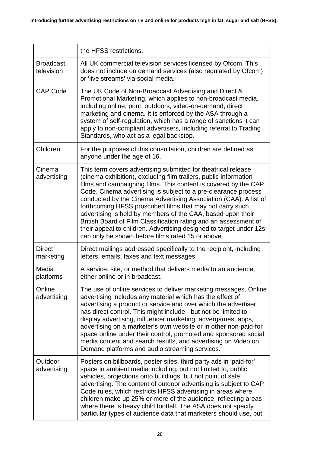|                                                                                                                                                                                                                                                                                                                                                                                                                                                                                                                                                                                                                                                                                                | the HFSS restrictions.                                                                                                                                                                                                                                                                                                                                                                                                                                                                                                                                                                        |  |  |  |
|------------------------------------------------------------------------------------------------------------------------------------------------------------------------------------------------------------------------------------------------------------------------------------------------------------------------------------------------------------------------------------------------------------------------------------------------------------------------------------------------------------------------------------------------------------------------------------------------------------------------------------------------------------------------------------------------|-----------------------------------------------------------------------------------------------------------------------------------------------------------------------------------------------------------------------------------------------------------------------------------------------------------------------------------------------------------------------------------------------------------------------------------------------------------------------------------------------------------------------------------------------------------------------------------------------|--|--|--|
| <b>Broadcast</b><br>television                                                                                                                                                                                                                                                                                                                                                                                                                                                                                                                                                                                                                                                                 | All UK commercial television services licensed by Ofcom. This<br>does not include on demand services (also regulated by Ofcom)<br>or 'live streams' via social media.                                                                                                                                                                                                                                                                                                                                                                                                                         |  |  |  |
| <b>CAP Code</b><br>The UK Code of Non-Broadcast Advertising and Direct &<br>Promotional Marketing, which applies to non-broadcast media,<br>including online, print, outdoors, video-on-demand, direct<br>marketing and cinema. It is enforced by the ASA through a<br>system of self-regulation, which has a range of sanctions it can<br>apply to non-compliant advertisers, including referral to Trading<br>Standards, who act as a legal backstop.                                                                                                                                                                                                                                        |                                                                                                                                                                                                                                                                                                                                                                                                                                                                                                                                                                                               |  |  |  |
| Children                                                                                                                                                                                                                                                                                                                                                                                                                                                                                                                                                                                                                                                                                       | For the purposes of this consultation, children are defined as<br>anyone under the age of 16.                                                                                                                                                                                                                                                                                                                                                                                                                                                                                                 |  |  |  |
| Cinema<br>This term covers advertising submitted for theatrical release<br>(cinema exhibition), excluding film trailers, public information<br>advertising<br>films and campaigning films. This content is covered by the CAP<br>Code. Cinema advertising is subject to a pre-clearance process<br>conducted by the Cinema Advertising Association (CAA). A list of<br>forthcoming HFSS proscribed films that may not carry such<br>advertising is held by members of the CAA, based upon their<br>British Board of Film Classification rating and an assessment of<br>their appeal to children. Advertising designed to target under 12s<br>can only be shown before films rated 15 or above. |                                                                                                                                                                                                                                                                                                                                                                                                                                                                                                                                                                                               |  |  |  |
| <b>Direct</b><br>marketing                                                                                                                                                                                                                                                                                                                                                                                                                                                                                                                                                                                                                                                                     | Direct mailings addressed specifically to the recipient, including<br>letters, emails, faxes and text messages.                                                                                                                                                                                                                                                                                                                                                                                                                                                                               |  |  |  |
| Media<br>platforms                                                                                                                                                                                                                                                                                                                                                                                                                                                                                                                                                                                                                                                                             | A service, site, or method that delivers media to an audience,<br>either online or in broadcast.                                                                                                                                                                                                                                                                                                                                                                                                                                                                                              |  |  |  |
| Online<br>advertising                                                                                                                                                                                                                                                                                                                                                                                                                                                                                                                                                                                                                                                                          | The use of online services to deliver marketing messages. Online<br>advertising includes any material which has the effect of<br>advertising a product or service and over which the advertiser<br>has direct control. This might include - but not be limited to -<br>display advertising, influencer marketing, advergames, apps,<br>advertising on a marketer's own website or in other non-paid-for<br>space online under their control, promoted and sponsored social<br>media content and search results, and advertising on Video on<br>Demand platforms and audio streaming services. |  |  |  |
| Outdoor<br>advertising                                                                                                                                                                                                                                                                                                                                                                                                                                                                                                                                                                                                                                                                         | Posters on billboards, poster sites, third party ads in 'paid-for'<br>space in ambient media including, but not limited to, public<br>vehicles, projections onto buildings, but not point of sale<br>advertising. The content of outdoor advertising is subject to CAP<br>Code rules, which restricts HFSS advertising in areas where<br>children make up 25% or more of the audience, reflecting areas<br>where there is heavy child footfall. The ASA does not specify<br>particular types of audience data that marketers should use, but                                                  |  |  |  |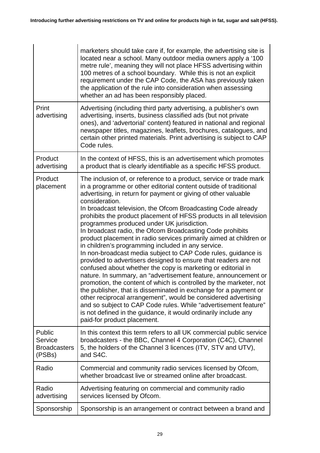|                                                                                                                | marketers should take care if, for example, the advertising site is<br>located near a school. Many outdoor media owners apply a '100<br>metre rule', meaning they will not place HFSS advertising within<br>100 metres of a school boundary. While this is not an explicit<br>requirement under the CAP Code, the ASA has previously taken<br>the application of the rule into consideration when assessing<br>whether an ad has been responsibly placed.                                                                                                                                                                                                                                                                                                                                                                                                                                                                                                                                                                                                                                                                                                                                                                                                      |  |  |
|----------------------------------------------------------------------------------------------------------------|----------------------------------------------------------------------------------------------------------------------------------------------------------------------------------------------------------------------------------------------------------------------------------------------------------------------------------------------------------------------------------------------------------------------------------------------------------------------------------------------------------------------------------------------------------------------------------------------------------------------------------------------------------------------------------------------------------------------------------------------------------------------------------------------------------------------------------------------------------------------------------------------------------------------------------------------------------------------------------------------------------------------------------------------------------------------------------------------------------------------------------------------------------------------------------------------------------------------------------------------------------------|--|--|
| Print<br>advertising                                                                                           | Advertising (including third party advertising, a publisher's own<br>advertising, inserts, business classified ads (but not private<br>ones), and 'advertorial' content) featured in national and regional<br>newspaper titles, magazines, leaflets, brochures, catalogues, and<br>certain other printed materials. Print advertising is subject to CAP<br>Code rules.                                                                                                                                                                                                                                                                                                                                                                                                                                                                                                                                                                                                                                                                                                                                                                                                                                                                                         |  |  |
| Product<br>advertising                                                                                         | In the context of HFSS, this is an advertisement which promotes<br>a product that is clearly identifiable as a specific HFSS product.                                                                                                                                                                                                                                                                                                                                                                                                                                                                                                                                                                                                                                                                                                                                                                                                                                                                                                                                                                                                                                                                                                                          |  |  |
| Product<br>placement                                                                                           | The inclusion of, or reference to a product, service or trade mark<br>in a programme or other editorial content outside of traditional<br>advertising, in return for payment or giving of other valuable<br>consideration.<br>In broadcast television, the Ofcom Broadcasting Code already<br>prohibits the product placement of HFSS products in all television<br>programmes produced under UK jurisdiction.<br>In broadcast radio, the Ofcom Broadcasting Code prohibits<br>product placement in radio services primarily aimed at children or<br>in children's programming included in any service.<br>In non-broadcast media subject to CAP Code rules, guidance is<br>provided to advertisers designed to ensure that readers are not<br>confused about whether the copy is marketing or editorial in<br>nature. In summary, an "advertisement feature, announcement or<br>promotion, the content of which is controlled by the marketer, not<br>the publisher, that is disseminated in exchange for a payment or<br>other reciprocal arrangement", would be considered advertising<br>and so subject to CAP Code rules. While "advertisement feature"<br>is not defined in the guidance, it would ordinarily include any<br>paid-for product placement. |  |  |
| Public<br>Service<br><b>Broadcasters</b><br>(PSBs)                                                             | In this context this term refers to all UK commercial public service<br>broadcasters - the BBC, Channel 4 Corporation (C4C), Channel<br>5, the holders of the Channel 3 licences (ITV, STV and UTV),<br>and S4C.                                                                                                                                                                                                                                                                                                                                                                                                                                                                                                                                                                                                                                                                                                                                                                                                                                                                                                                                                                                                                                               |  |  |
| Radio                                                                                                          | Commercial and community radio services licensed by Ofcom,<br>whether broadcast live or streamed online after broadcast.                                                                                                                                                                                                                                                                                                                                                                                                                                                                                                                                                                                                                                                                                                                                                                                                                                                                                                                                                                                                                                                                                                                                       |  |  |
| Radio<br>Advertising featuring on commercial and community radio<br>advertising<br>services licensed by Ofcom. |                                                                                                                                                                                                                                                                                                                                                                                                                                                                                                                                                                                                                                                                                                                                                                                                                                                                                                                                                                                                                                                                                                                                                                                                                                                                |  |  |
| Sponsorship<br>Sponsorship is an arrangement or contract between a brand and                                   |                                                                                                                                                                                                                                                                                                                                                                                                                                                                                                                                                                                                                                                                                                                                                                                                                                                                                                                                                                                                                                                                                                                                                                                                                                                                |  |  |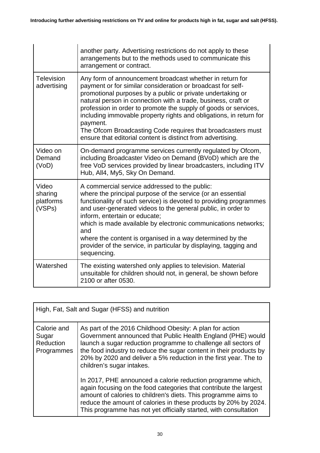|                                                                                                                                                                                                                                                                                                                                                                                                                                                                                                                                                                               | another party. Advertising restrictions do not apply to these<br>arrangements but to the methods used to communicate this<br>arrangement or contract.                                                                          |  |  |  |  |
|-------------------------------------------------------------------------------------------------------------------------------------------------------------------------------------------------------------------------------------------------------------------------------------------------------------------------------------------------------------------------------------------------------------------------------------------------------------------------------------------------------------------------------------------------------------------------------|--------------------------------------------------------------------------------------------------------------------------------------------------------------------------------------------------------------------------------|--|--|--|--|
| <b>Television</b><br>Any form of announcement broadcast whether in return for<br>payment or for similar consideration or broadcast for self-<br>advertising<br>promotional purposes by a public or private undertaking or<br>natural person in connection with a trade, business, craft or<br>profession in order to promote the supply of goods or services,<br>including immovable property rights and obligations, in return for<br>payment.<br>The Ofcom Broadcasting Code requires that broadcasters must<br>ensure that editorial content is distinct from advertising. |                                                                                                                                                                                                                                |  |  |  |  |
| Video on<br>Demand<br>(VoD)                                                                                                                                                                                                                                                                                                                                                                                                                                                                                                                                                   | On-demand programme services currently regulated by Ofcom,<br>including Broadcaster Video on Demand (BVoD) which are the<br>free VoD services provided by linear broadcasters, including ITV<br>Hub, All4, My5, Sky On Demand. |  |  |  |  |
| Video<br>A commercial service addressed to the public:<br>where the principal purpose of the service (or an essential<br>sharing<br>platforms<br>functionality of such service) is devoted to providing programmes<br>(VSPs)<br>and user-generated videos to the general public, in order to<br>inform, entertain or educate;<br>which is made available by electronic communications networks;<br>and<br>where the content is organised in a way determined by the<br>provider of the service, in particular by displaying, tagging and<br>sequencing.                       |                                                                                                                                                                                                                                |  |  |  |  |
| Watershed                                                                                                                                                                                                                                                                                                                                                                                                                                                                                                                                                                     | The existing watershed only applies to television. Material<br>unsuitable for children should not, in general, be shown before<br>2100 or after 0530.                                                                          |  |  |  |  |

| High, Fat, Salt and Sugar (HFSS) and nutrition  |                                                                                                                                                                                                                                                                                                                                                                  |  |  |  |
|-------------------------------------------------|------------------------------------------------------------------------------------------------------------------------------------------------------------------------------------------------------------------------------------------------------------------------------------------------------------------------------------------------------------------|--|--|--|
| Calorie and<br>Sugar<br>Reduction<br>Programmes | As part of the 2016 Childhood Obesity: A plan for action<br>Government announced that Public Health England (PHE) would<br>launch a sugar reduction programme to challenge all sectors of<br>the food industry to reduce the sugar content in their products by<br>20% by 2020 and deliver a 5% reduction in the first year. The to<br>children's sugar intakes. |  |  |  |
|                                                 | In 2017, PHE announced a calorie reduction programme which,<br>again focusing on the food categories that contribute the largest<br>amount of calories to children's diets. This programme aims to<br>reduce the amount of calories in these products by 20% by 2024.<br>This programme has not yet officially started, with consultation                        |  |  |  |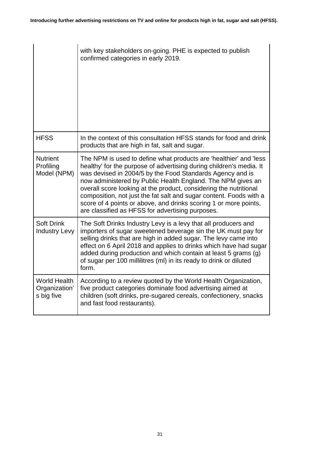|                                                    | with key stakeholders on-going. PHE is expected to publish<br>confirmed categories in early 2019.                                                                                                                                                                                                                                                                                                                                                                                                                                       |
|----------------------------------------------------|-----------------------------------------------------------------------------------------------------------------------------------------------------------------------------------------------------------------------------------------------------------------------------------------------------------------------------------------------------------------------------------------------------------------------------------------------------------------------------------------------------------------------------------------|
| <b>HFSS</b>                                        | In the context of this consultation HFSS stands for food and drink<br>products that are high in fat, salt and sugar.                                                                                                                                                                                                                                                                                                                                                                                                                    |
| <b>Nutrient</b><br>Profiling<br>Model (NPM)        | The NPM is used to define what products are 'healthier' and 'less<br>healthy' for the purpose of advertising during children's media. It<br>was devised in 2004/5 by the Food Standards Agency and is<br>now administered by Public Health England. The NPM gives an<br>overall score looking at the product, considering the nutritional<br>composition, not just the fat salt and sugar content. Foods with a<br>score of 4 points or above, and drinks scoring 1 or more points,<br>are classified as HFSS for advertising purposes. |
| <b>Soft Drink</b><br><b>Industry Levy</b>          | The Soft Drinks Industry Levy is a levy that all producers and<br>importers of sugar sweetened beverage sin the UK must pay for<br>selling drinks that are high in added sugar. The levy came into<br>effect on 6 April 2018 and applies to drinks which have had sugar<br>added during production and which contain at least 5 grams (g)<br>of sugar per 100 millilitres (ml) in its ready to drink or diluted<br>form.                                                                                                                |
| <b>World Health</b><br>Organization'<br>s big five | According to a review quoted by the World Health Organization,<br>five product categories dominate food advertising aimed at<br>children (soft drinks, pre-sugared cereals, confectionery, snacks<br>and fast food restaurants).                                                                                                                                                                                                                                                                                                        |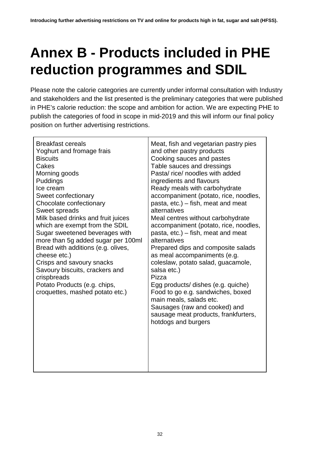# <span id="page-31-0"></span>**Annex B - Products included in PHE reduction programmes and SDIL**

Please note the calorie categories are currently under informal consultation with Industry and stakeholders and the list presented is the preliminary categories that were published in PHE's calorie reduction: the scope and ambition for action. We are expecting PHE to publish the categories of food in scope in mid-2019 and this will inform our final policy position on further advertising restrictions.

| <b>Breakfast cereals</b><br>Yoghurt and fromage frais<br><b>Biscuits</b><br>Cakes<br>Morning goods<br>Puddings<br>Ice cream<br>Sweet confectionary<br>Chocolate confectionary<br>Sweet spreads<br>Milk based drinks and fruit juices<br>which are exempt from the SDIL<br>Sugar sweetened beverages with<br>more than 5g added sugar per 100ml<br>Bread with additions (e.g. olives,<br>cheese etc.)<br>Crisps and savoury snacks<br>Savoury biscuits, crackers and<br>crispbreads<br>Potato Products (e.g. chips,<br>croquettes, mashed potato etc.) | Meat, fish and vegetarian pastry pies<br>and other pastry products<br>Cooking sauces and pastes<br>Table sauces and dressings<br>Pasta/rice/noodles with added<br>ingredients and flavours<br>Ready meals with carbohydrate<br>accompaniment (potato, rice, noodles,<br>pasta, etc.) - fish, meat and meat<br>alternatives<br>Meal centres without carbohydrate<br>accompaniment (potato, rice, noodles,<br>pasta, etc.) – fish, meat and meat<br>alternatives<br>Prepared dips and composite salads<br>as meal accompaniments (e.g.<br>coleslaw, potato salad, guacamole,<br>salsa etc.)<br>Pizza<br>Egg products/ dishes (e.g. quiche)<br>Food to go e.g. sandwiches, boxed<br>main meals, salads etc.<br>Sausages (raw and cooked) and<br>sausage meat products, frankfurters,<br>hotdogs and burgers |
|-------------------------------------------------------------------------------------------------------------------------------------------------------------------------------------------------------------------------------------------------------------------------------------------------------------------------------------------------------------------------------------------------------------------------------------------------------------------------------------------------------------------------------------------------------|----------------------------------------------------------------------------------------------------------------------------------------------------------------------------------------------------------------------------------------------------------------------------------------------------------------------------------------------------------------------------------------------------------------------------------------------------------------------------------------------------------------------------------------------------------------------------------------------------------------------------------------------------------------------------------------------------------------------------------------------------------------------------------------------------------|
|                                                                                                                                                                                                                                                                                                                                                                                                                                                                                                                                                       |                                                                                                                                                                                                                                                                                                                                                                                                                                                                                                                                                                                                                                                                                                                                                                                                          |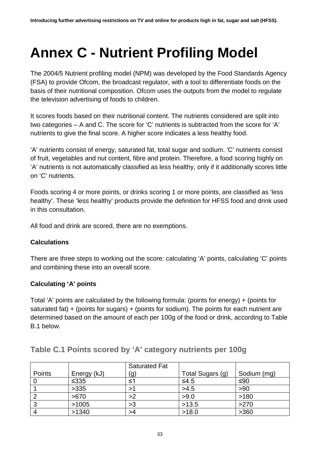## <span id="page-32-0"></span>**Annex C - Nutrient Profiling Model**

The 2004/5 Nutrient profiling model (NPM) was developed by the Food Standards Agency (FSA) to provide Ofcom, the broadcast regulator, with a tool to differentiate foods on the basis of their nutritional composition. Ofcom uses the outputs from the model to regulate the television advertising of foods to children.

It scores foods based on their nutritional content. The nutrients considered are split into two categories – A and C. The score for 'C' nutrients is subtracted from the score for 'A' nutrients to give the final score. A higher score indicates a less healthy food.

'A' nutrients consist of energy, saturated fat, total sugar and sodium. 'C' nutrients consist of fruit, vegetables and nut content, fibre and protein. Therefore, a food scoring highly on 'A' nutrients is not automatically classified as less healthy, only if it additionally scores little on 'C' nutrients.

Foods scoring 4 or more points, or drinks scoring 1 or more points, are classified as 'less healthy'. These 'less healthy' products provide the definition for HFSS food and drink used in this consultation.

All food and drink are scored, there are no exemptions.

### **Calculations**

There are three steps to working out the score: calculating 'A' points, calculating 'C' points and combining these into an overall score.

### **Calculating 'A' points**

Total 'A' points are calculated by the following formula: (points for energy) + (points for saturated fat) + (points for sugars) + (points for sodium). The points for each nutrient are determined based on the amount of each per 100g of the food or drink, according to Table B.1 below.

|        |             | <b>Saturated Fat</b> |                  |             |
|--------|-------------|----------------------|------------------|-------------|
| Points | Energy (kJ) | (g)                  | Total Sugars (g) | Sodium (mg) |
|        | $\leq 335$  |                      | $≤4.5$           | ≤90         |
|        | >335        |                      | >4.5             | >90         |
|        | >670        | >2                   | >9.0             | >180        |
|        | >1005       | >3                   | >13.5            | >270        |
|        | >1340       |                      | >18.0            | >360        |

### **Table C.1 Points scored by 'A' category nutrients per 100g**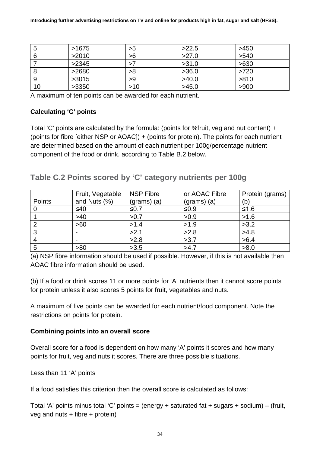|    | >1675 | >5  | >22.5 | >450 |
|----|-------|-----|-------|------|
|    | >2010 | >6  | >27.0 | >540 |
|    | >2345 |     | >31.0 | >630 |
|    | >2680 | >8  | >36.0 | >720 |
|    | >3015 | >9  | >40.0 | >810 |
| 10 | >3350 | >10 | >45.0 | >900 |

A maximum of ten points can be awarded for each nutrient.

### **Calculating 'C' points**

Total 'C' points are calculated by the formula: (points for %fruit, veg and nut content) + (points for fibre [either NSP or AOAC]) + (points for protein). The points for each nutrient are determined based on the amount of each nutrient per 100g/percentage nutrient component of the food or drink, according to Table B.2 below.

### **Table C.2 Points scored by 'C' category nutrients per 100g**

|        | Fruit, Vegetable | <b>NSP Fibre</b> | or AOAC Fibre | Protein (grams) |
|--------|------------------|------------------|---------------|-----------------|
| Points | and Nuts (%)     | $(grams)$ (a)    | $(grams)$ (a) | (b)             |
|        | ≤40              | ≤0.7             | ≤0.9          | $≤1.6$          |
|        | >40              | >0.7             | >0.9          | >1.6            |
|        | >60              | >1.4             | >1.9          | >3.2            |
| 3      |                  | >2.1             | >2.8          | >4.8            |
|        |                  | >2.8             | >3.7          | >6.4            |
| 5      | >80              | >3.5             | >4.7          | >8.0            |

(a) NSP fibre information should be used if possible. However, if this is not available then AOAC fibre information should be used.

(b) If a food or drink scores 11 or more points for 'A' nutrients then it cannot score points for protein unless it also scores 5 points for fruit, vegetables and nuts.

A maximum of five points can be awarded for each nutrient/food component. Note the restrictions on points for protein.

#### **Combining points into an overall score**

Overall score for a food is dependent on how many 'A' points it scores and how many points for fruit, veg and nuts it scores. There are three possible situations.

Less than 11 'A' points

If a food satisfies this criterion then the overall score is calculated as follows:

Total 'A' points minus total 'C' points = (energy + saturated fat + sugars + sodium) – (fruit, veg and nuts + fibre + protein)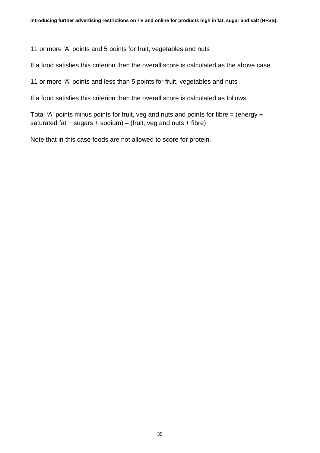11 or more 'A' points and 5 points for fruit, vegetables and nuts

If a food satisfies this criterion then the overall score is calculated as the above case.

11 or more 'A' points and less than 5 points for fruit, vegetables and nuts

If a food satisfies this criterion then the overall score is calculated as follows:

Total 'A' points minus points for fruit, veg and nuts and points for fibre  $=$  (energy  $+$ saturated fat  $+$  sugars  $+$  sodium) – (fruit, veg and nuts  $+$  fibre)

Note that in this case foods are not allowed to score for protein.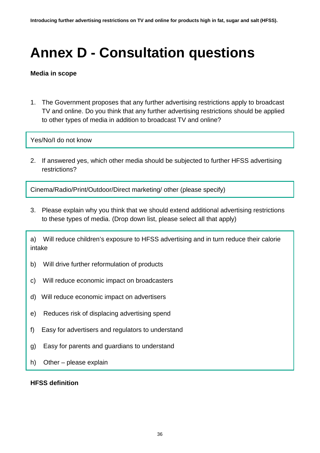# <span id="page-35-0"></span>**Annex D - Consultation questions**

#### **Media in scope**

1. The Government proposes that any further advertising restrictions apply to broadcast TV and online. Do you think that any further advertising restrictions should be applied to other types of media in addition to broadcast TV and online?

Yes/No/I do not know

2. If answered yes, which other media should be subjected to further HFSS advertising restrictions?

Cinema/Radio/Print/Outdoor/Direct marketing/ other (please specify)

3. Please explain why you think that we should extend additional advertising restrictions to these types of media. (Drop down list, please select all that apply)

a) Will reduce children's exposure to HFSS advertising and in turn reduce their calorie intake

- b) Will drive further reformulation of products
- c) Will reduce economic impact on broadcasters
- d) Will reduce economic impact on advertisers
- e) Reduces risk of displacing advertising spend
- f) Easy for advertisers and regulators to understand
- g) Easy for parents and guardians to understand
- h) Other please explain

#### **HFSS definition**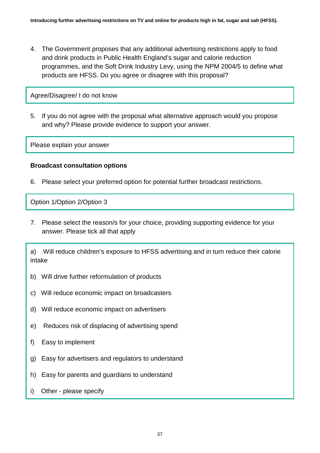4. The Government proposes that any additional advertising restrictions apply to food and drink products in Public Health England's sugar and calorie reduction programmes, and the Soft Drink Industry Levy, using the NPM 2004/5 to define what products are HFSS. Do you agree or disagree with this proposal?

Agree/Disagree/ I do not know

5. If you do not agree with the proposal what alternative approach would you propose and why? Please provide evidence to support your answer.

Please explain your answer

#### **Broadcast consultation options**

6. Please select your preferred option for potential further broadcast restrictions.

Option 1/Option 2/Option 3

7. Please select the reason/s for your choice, providing supporting evidence for your answer. Please tick all that apply

a) Will reduce children's exposure to HFSS advertising and in turn reduce their calorie intake

- b) Will drive further reformulation of products
- c) Will reduce economic impact on broadcasters
- d) Will reduce economic impact on advertisers
- e) Reduces risk of displacing of advertising spend
- f) Easy to implement
- g) Easy for advertisers and regulators to understand
- h) Easy for parents and guardians to understand
- i) Other please specify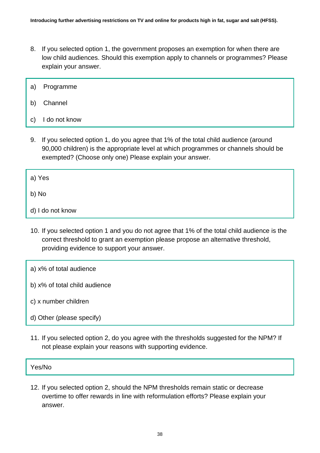- 8. If you selected option 1, the government proposes an exemption for when there are low child audiences. Should this exemption apply to channels or programmes? Please explain your answer.
- a) Programme
- b) Channel
- c) I do not know
- 9. If you selected option 1, do you agree that 1% of the total child audience (around 90,000 children) is the appropriate level at which programmes or channels should be exempted? (Choose only one) Please explain your answer.
- a) Yes

b) No

- d) I do not know
- 10. If you selected option 1 and you do not agree that 1% of the total child audience is the correct threshold to grant an exemption please propose an alternative threshold, providing evidence to support your answer.
- a) x% of total audience
- b) x% of total child audience
- c) x number children
- d) Other (please specify)
- 11. If you selected option 2, do you agree with the thresholds suggested for the NPM? If not please explain your reasons with supporting evidence.

Yes/No

12. If you selected option 2, should the NPM thresholds remain static or decrease overtime to offer rewards in line with reformulation efforts? Please explain your answer.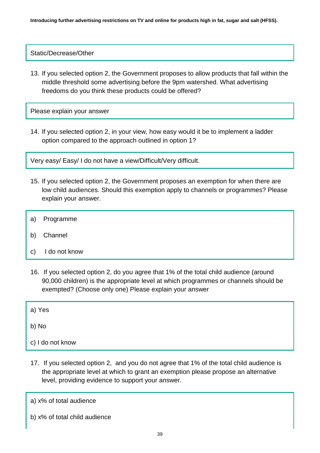Static/Decrease/Other

13. If you selected option 2, the Government proposes to allow products that fall within the middle threshold some advertising before the 9pm watershed. What advertising freedoms do you think these products could be offered?

Please explain your answer

14. If you selected option 2, in your view, how easy would it be to implement a ladder option compared to the approach outlined in option 1?

Very easy/ Easy/ I do not have a view/Difficult/Very difficult.

- 15. If you selected option 2, the Government proposes an exemption for when there are low child audiences. Should this exemption apply to channels or programmes? Please explain your answer.
- a) Programme
- b) Channel
- c) I do not know
- 16. If you selected option 2, do you agree that 1% of the total child audience (around 90,000 children) is the appropriate level at which programmes or channels should be exempted? (Choose only one) Please explain your answer
- a) Yes
- b) No
- c) I do not know
- 17. If you selected option 2, and you do not agree that 1% of the total child audience is the appropriate level at which to grant an exemption please propose an alternative level, providing evidence to support your answer.
- a) x% of total audience
- b) x% of total child audience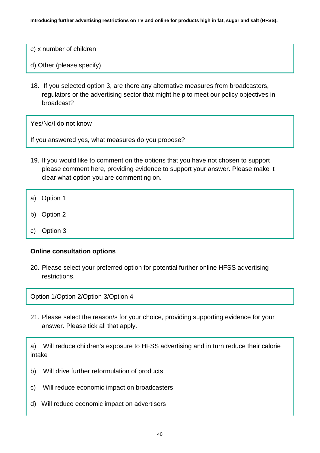- c) x number of children
- d) Other (please specify)
- 18. If you selected option 3, are there any alternative measures from broadcasters, regulators or the advertising sector that might help to meet our policy objectives in broadcast?

If you answered yes, what measures do you propose?

- 19. If you would like to comment on the options that you have not chosen to support please comment here, providing evidence to support your answer. Please make it clear what option you are commenting on.
- a) Option 1
- b) Option 2
- c) Option 3

#### **Online consultation options**

20. Please select your preferred option for potential further online HFSS advertising restrictions.

Option 1/Option 2/Option 3/Option 4

21. Please select the reason/s for your choice, providing supporting evidence for your answer. Please tick all that apply.

a) Will reduce children's exposure to HFSS advertising and in turn reduce their calorie intake

- b) Will drive further reformulation of products
- c) Will reduce economic impact on broadcasters
- d) Will reduce economic impact on advertisers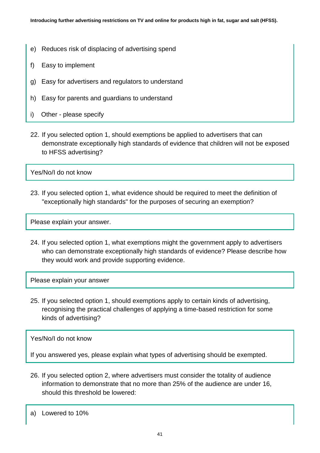- e) Reduces risk of displacing of advertising spend
- f) Easy to implement
- g) Easy for advertisers and regulators to understand
- h) Easy for parents and guardians to understand
- i) Other please specify
- 22. If you selected option 1, should exemptions be applied to advertisers that can demonstrate exceptionally high standards of evidence that children will not be exposed to HFSS advertising?

23. If you selected option 1, what evidence should be required to meet the definition of "exceptionally high standards" for the purposes of securing an exemption?

Please explain your answer.

24. If you selected option 1, what exemptions might the government apply to advertisers who can demonstrate exceptionally high standards of evidence? Please describe how they would work and provide supporting evidence.

Please explain your answer

25. If you selected option 1, should exemptions apply to certain kinds of advertising, recognising the practical challenges of applying a time-based restriction for some kinds of advertising?

Yes/No/I do not know

If you answered yes, please explain what types of advertising should be exempted.

26. If you selected option 2, where advertisers must consider the totality of audience information to demonstrate that no more than 25% of the audience are under 16, should this threshold be lowered:

a) Lowered to 10%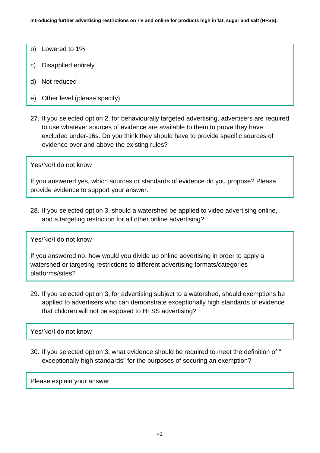- b) Lowered to 1%
- c) Disapplied entirely
- d) Not reduced
- e) Other level (please specify)
- 27. If you selected option 2, for behaviourally targeted advertising, advertisers are required to use whatever sources of evidence are available to them to prove they have excluded under-16s. Do you think they should have to provide specific sources of evidence over and above the existing rules?

If you answered yes, which sources or standards of evidence do you propose? Please provide evidence to support your answer.

28. If you selected option 3, should a watershed be applied to video advertising online, and a targeting restriction for all other online advertising?

Yes/No/I do not know

If you answered no, how would you divide up online advertising in order to apply a watershed or targeting restrictions to different advertising formats/categories platforms/sites?

29. If you selected option 3, for advertising subject to a watershed, should exemptions be applied to advertisers who can demonstrate exceptionally high standards of evidence that children will not be exposed to HFSS advertising?

Yes/No/I do not know

30. If you selected option 3, what evidence should be required to meet the definition of " exceptionally high standards" for the purposes of securing an exemption?

Please explain your answer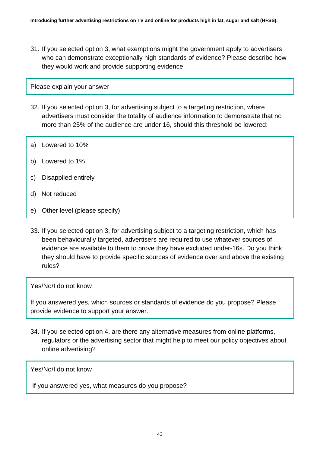31. If you selected option 3, what exemptions might the government apply to advertisers who can demonstrate exceptionally high standards of evidence? Please describe how they would work and provide supporting evidence.

#### Please explain your answer

- 32. If you selected option 3, for advertising subject to a targeting restriction, where advertisers must consider the totality of audience information to demonstrate that no more than 25% of the audience are under 16, should this threshold be lowered:
- a) Lowered to 10%
- b) Lowered to 1%
- c) Disapplied entirely
- d) Not reduced
- e) Other level (please specify)
- 33. If you selected option 3, for advertising subject to a targeting restriction, which has been behaviourally targeted, advertisers are required to use whatever sources of evidence are available to them to prove they have excluded under-16s. Do you think they should have to provide specific sources of evidence over and above the existing rules?

#### Yes/No/I do not know

If you answered yes, which sources or standards of evidence do you propose? Please provide evidence to support your answer.

34. If you selected option 4, are there any alternative measures from online platforms, regulators or the advertising sector that might help to meet our policy objectives about online advertising?

Yes/No/I do not know

If you answered yes, what measures do you propose?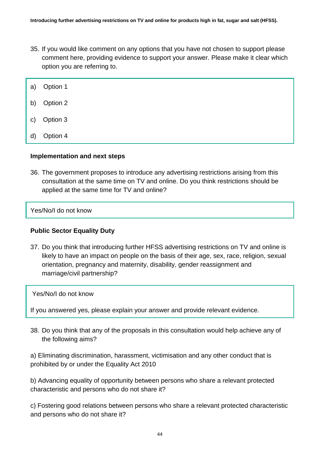- 35. If you would like comment on any options that you have not chosen to support please comment here, providing evidence to support your answer. Please make it clear which option you are referring to.
- a) Option 1
- b) Option 2
- c) Option 3
- d) Option 4

#### **Implementation and next steps**

36. The government proposes to introduce any advertising restrictions arising from this consultation at the same time on TV and online. Do you think restrictions should be applied at the same time for TV and online?

Yes/No/I do not know

#### **Public Sector Equality Duty**

37. Do you think that introducing further HFSS advertising restrictions on TV and online is likely to have an impact on people on the basis of their age, sex, race, religion, sexual orientation, pregnancy and maternity, disability, gender reassignment and marriage/civil partnership?

Yes/No/I do not know

If you answered yes, please explain your answer and provide relevant evidence.

38. Do you think that any of the proposals in this consultation would help achieve any of the following aims?

a) Eliminating discrimination, harassment, victimisation and any other conduct that is prohibited by or under the Equality Act 2010

b) Advancing equality of opportunity between persons who share a relevant protected characteristic and persons who do not share it?

c) Fostering good relations between persons who share a relevant protected characteristic and persons who do not share it?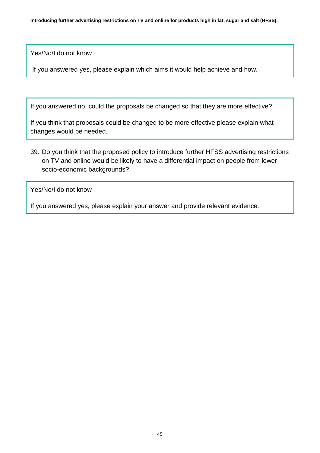If you answered yes, please explain which aims it would help achieve and how.

If you answered no, could the proposals be changed so that they are more effective?

If you think that proposals could be changed to be more effective please explain what changes would be needed.

39. Do you think that the proposed policy to introduce further HFSS advertising restrictions on TV and online would be likely to have a differential impact on people from lower socio-economic backgrounds?

Yes/No/I do not know

If you answered yes, please explain your answer and provide relevant evidence.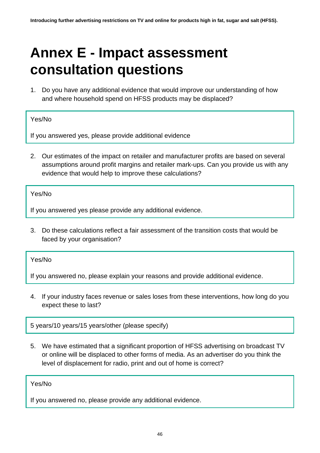## <span id="page-45-0"></span>**Annex E - Impact assessment consultation questions**

1. Do you have any additional evidence that would improve our understanding of how and where household spend on HFSS products may be displaced?

#### Yes/No

If you answered yes, please provide additional evidence

2. Our estimates of the impact on retailer and manufacturer profits are based on several assumptions around profit margins and retailer mark-ups. Can you provide us with any evidence that would help to improve these calculations?

Yes/No

If you answered yes please provide any additional evidence.

3. Do these calculations reflect a fair assessment of the transition costs that would be faced by your organisation?

Yes/No

If you answered no, please explain your reasons and provide additional evidence.

4. If your industry faces revenue or sales loses from these interventions, how long do you expect these to last?

5 years/10 years/15 years/other (please specify)

5. We have estimated that a significant proportion of HFSS advertising on broadcast TV or online will be displaced to other forms of media. As an advertiser do you think the level of displacement for radio, print and out of home is correct?

### Yes/No

If you answered no, please provide any additional evidence.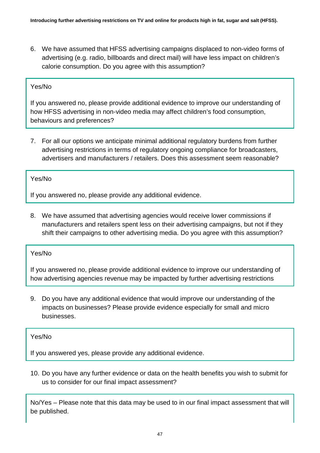6. We have assumed that HFSS advertising campaigns displaced to non-video forms of advertising (e.g. radio, billboards and direct mail) will have less impact on children's calorie consumption. Do you agree with this assumption?

#### Yes/No

If you answered no, please provide additional evidence to improve our understanding of how HFSS advertising in non-video media may affect children's food consumption, behaviours and preferences?

7. For all our options we anticipate minimal additional regulatory burdens from further advertising restrictions in terms of regulatory ongoing compliance for broadcasters, advertisers and manufacturers / retailers. Does this assessment seem reasonable?

#### Yes/No

If you answered no, please provide any additional evidence.

8. We have assumed that advertising agencies would receive lower commissions if manufacturers and retailers spent less on their advertising campaigns, but not if they shift their campaigns to other advertising media. Do you agree with this assumption?

#### Yes/No

If you answered no, please provide additional evidence to improve our understanding of how advertising agencies revenue may be impacted by further advertising restrictions

9. Do you have any additional evidence that would improve our understanding of the impacts on businesses? Please provide evidence especially for small and micro businesses.

#### Yes/No

If you answered yes, please provide any additional evidence.

10. Do you have any further evidence or data on the health benefits you wish to submit for us to consider for our final impact assessment?

No/Yes – Please note that this data may be used to in our final impact assessment that will be published.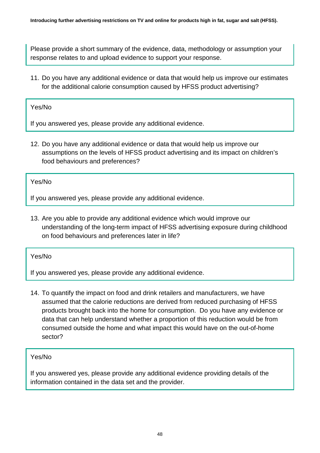Please provide a short summary of the evidence, data, methodology or assumption your response relates to and upload evidence to support your response.

11. Do you have any additional evidence or data that would help us improve our estimates for the additional calorie consumption caused by HFSS product advertising?

Yes/No

If you answered yes, please provide any additional evidence.

12. Do you have any additional evidence or data that would help us improve our assumptions on the levels of HFSS product advertising and its impact on children's food behaviours and preferences?

Yes/No

If you answered yes, please provide any additional evidence.

13. Are you able to provide any additional evidence which would improve our understanding of the long-term impact of HFSS advertising exposure during childhood on food behaviours and preferences later in life?

Yes/No

If you answered yes, please provide any additional evidence.

14. To quantify the impact on food and drink retailers and manufacturers, we have assumed that the calorie reductions are derived from reduced purchasing of HFSS products brought back into the home for consumption. Do you have any evidence or data that can help understand whether a proportion of this reduction would be from consumed outside the home and what impact this would have on the out-of-home sector?

### Yes/No

If you answered yes, please provide any additional evidence providing details of the information contained in the data set and the provider.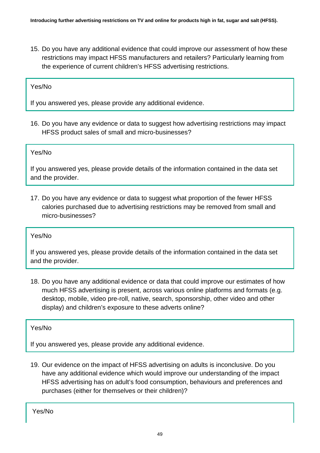15. Do you have any additional evidence that could improve our assessment of how these restrictions may impact HFSS manufacturers and retailers? Particularly learning from the experience of current children's HFSS advertising restrictions.

#### Yes/No

If you answered yes, please provide any additional evidence.

16. Do you have any evidence or data to suggest how advertising restrictions may impact HFSS product sales of small and micro-businesses?

#### Yes/No

If you answered yes, please provide details of the information contained in the data set and the provider.

17. Do you have any evidence or data to suggest what proportion of the fewer HFSS calories purchased due to advertising restrictions may be removed from small and micro-businesses?

#### Yes/No

If you answered yes, please provide details of the information contained in the data set and the provider.

18. Do you have any additional evidence or data that could improve our estimates of how much HFSS advertising is present, across various online platforms and formats (e.g. desktop, mobile, video pre-roll, native, search, sponsorship, other video and other display) and children's exposure to these adverts online?

Yes/No

If you answered yes, please provide any additional evidence.

19. Our evidence on the impact of HFSS advertising on adults is inconclusive. Do you have any additional evidence which would improve our understanding of the impact HFSS advertising has on adult's food consumption, behaviours and preferences and purchases (either for themselves or their children)?

Yes/No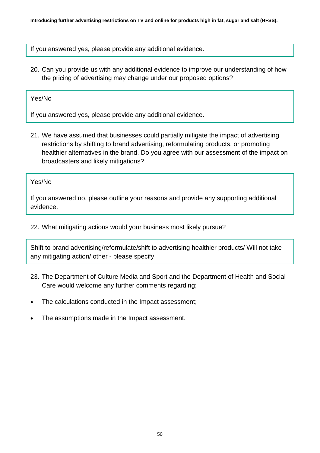If you answered yes, please provide any additional evidence.

20. Can you provide us with any additional evidence to improve our understanding of how the pricing of advertising may change under our proposed options?

Yes/No

If you answered yes, please provide any additional evidence.

21. We have assumed that businesses could partially mitigate the impact of advertising restrictions by shifting to brand advertising, reformulating products, or promoting healthier alternatives in the brand. Do you agree with our assessment of the impact on broadcasters and likely mitigations?

Yes/No

If you answered no, please outline your reasons and provide any supporting additional evidence.

22. What mitigating actions would your business most likely pursue?

Shift to brand advertising/reformulate/shift to advertising healthier products/ Will not take any mitigating action/ other - please specify

- 23. The Department of Culture Media and Sport and the Department of Health and Social Care would welcome any further comments regarding;
- The calculations conducted in the Impact assessment;
- The assumptions made in the Impact assessment.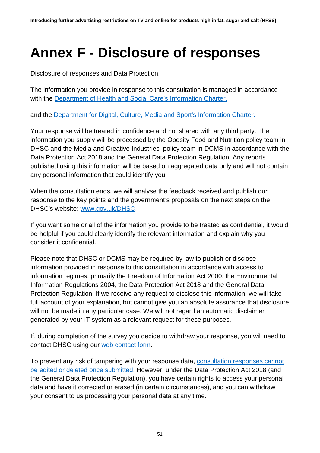## <span id="page-50-0"></span>**Annex F - Disclosure of responses**

Disclosure of responses and Data Protection.

The information you provide in response to this consultation is managed in accordance with the [Department of Health and Social Care's Information Charter.](https://www.gov.uk/government/organisations/department-of-health-and-social-care/about/personal-information-charter)

and the [Department for Digital, Culture, Media and Sport's Information Charter.](https://www.gov.uk/government/organisations/department-for-digital-culture-media-sport/about/personal-information-charter)

Your response will be treated in confidence and not shared with any third party. The information you supply will be processed by the Obesity Food and Nutrition policy team in DHSC and the Media and Creative Industries policy team in DCMS in accordance with the Data Protection Act 2018 and the General Data Protection Regulation. Any reports published using this information will be based on aggregated data only and will not contain any personal information that could identify you.

When the consultation ends, we will analyse the feedback received and publish our response to the key points and the government's proposals on the next steps on the DHSC's website: [www.gov.uk/DHSC.](http://www.gov.uk/DHSC)

If you want some or all of the information you provide to be treated as confidential, it would be helpful if you could clearly identify the relevant information and explain why you consider it confidential.

Please note that DHSC or DCMS may be required by law to publish or disclose information provided in response to this consultation in accordance with access to information regimes: primarily the Freedom of Information Act 2000, the Environmental Information Regulations 2004, the Data Protection Act 2018 and the General Data Protection Regulation. If we receive any request to disclose this information, we will take full account of your explanation, but cannot give you an absolute assurance that disclosure will not be made in any particular case. We will not regard an automatic disclaimer generated by your IT system as a relevant request for these purposes.

If, during completion of the survey you decide to withdraw your response, you will need to contact DHSC using our [web contact form.](https://contactus.dh.gov.uk/?openform)

To prevent any risk of tampering with your response data, [consultation responses cannot](https://delib.zendesk.com/hc/en-us/articles/204891325-Submitted-responses)  [be edited or deleted once submitted.](https://delib.zendesk.com/hc/en-us/articles/204891325-Submitted-responses) However, under the Data Protection Act 2018 (and the General Data Protection Regulation), you have certain rights to access your personal data and have it corrected or erased (in certain circumstances), and you can withdraw your consent to us processing your personal data at any time.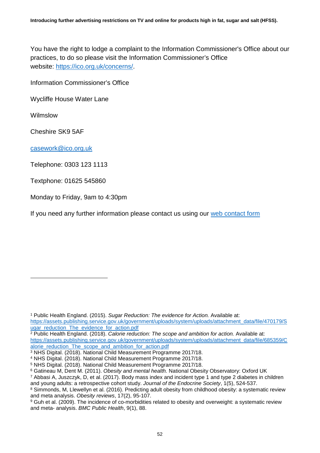You have the right to lodge a complaint to the Information Commissioner's Office about our practices, to do so please visit the Information Commissioner's Office website: [https://ico.org.uk/concerns/.](https://ico.org.uk/concerns/)

Information Commissioner's Office

Wycliffe House Water Lane

Wilmslow

-

Cheshire SK9 5AF

[casework@ico.org.uk](mailto:casework@ico.org.uk)

Telephone: 0303 123 1113

Textphone: 01625 545860

Monday to Friday, 9am to 4:30pm

If you need any further information please contact us using our [web contact form](https://contactus.dh.gov.uk/?openform)

<sup>1</sup> Public Health England. (2015). *Sugar Reduction: The evidence for Action.* Available at: [https://assets.publishing.service.gov.uk/government/uploads/system/uploads/attachment\\_data/file/470179/S](https://assets.publishing.service.gov.uk/government/uploads/system/uploads/attachment_data/file/470179/Sugar_reduction_The_evidence_for_action.pdf) [ugar\\_reduction\\_The\\_evidence\\_for\\_action.pdf](https://assets.publishing.service.gov.uk/government/uploads/system/uploads/attachment_data/file/470179/Sugar_reduction_The_evidence_for_action.pdf)

<sup>2</sup> Public Health England. (2018). *Calorie reduction: The scope and ambition for action.* Available at: [https://assets.publishing.service.gov.uk/government/uploads/system/uploads/attachment\\_data/file/685359/C](https://assets.publishing.service.gov.uk/government/uploads/system/uploads/attachment_data/file/685359/Calorie_reduction_The_scope_and_ambition_for_action.pdf) [alorie\\_reduction\\_The\\_scope\\_and\\_ambition\\_for\\_action.pdf](https://assets.publishing.service.gov.uk/government/uploads/system/uploads/attachment_data/file/685359/Calorie_reduction_The_scope_and_ambition_for_action.pdf)

<sup>3</sup> NHS Digital. (2018). National Child Measurement Programme 2017/18.

<sup>4</sup> NHS Digital. (2018). National Child Measurement Programme 2017/18.

<sup>5</sup> NHS Digital. (2018). National Child Measurement Programme 2017/18.

<sup>6</sup> Gatineau M, Dent M. (2011). *Obesity and mental health.* National Obesity Observatory: Oxford UK <sup>7</sup> Abbasi A, Juszczyk, D, et al. (2017). Body mass index and incident type 1 and type 2 diabetes in children

and young adults: a retrospective cohort study. *Journal of the Endocrine Society*, 1(5), 524-537.

<sup>&</sup>lt;sup>8</sup> Simmonds, M, Llewellyn et al. (2016). Predicting adult obesity from childhood obesity: a systematic review and meta analysis. *Obesity reviews*, 17(2), 95-107.

<sup>9</sup> Guh et al. (2009). The incidence of co-morbidities related to obesity and overweight: a systematic review and meta- analysis. *BMC Public Health*, 9(1), 88.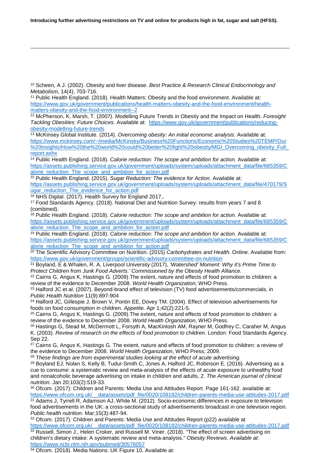<sup>10</sup> Scheen, A J. (2002). Obesity and liver disease. *Best Practice & Research Clinical Endocrinology and Metabolism*, 14(4), 703-716.

<sup>11</sup> Public Health England. (2018). Health Matters: Obesity and the food environment. Available at[:](https://www.gov.uk/government/publications/health-matters-obesity-and-the-food-environment/health-matters-obesity-and-the-food-environment--2) [https://www.gov.uk/government/publications/health-matters-obesity-and-the-food-environment/health](https://www.gov.uk/government/publications/health-matters-obesity-and-the-food-environment/health-matters-obesity-and-the-food-environment--2)[matters-obesity-and-the-food-environment--2](https://www.gov.uk/government/publications/health-matters-obesity-and-the-food-environment/health-matters-obesity-and-the-food-environment--2)

<sup>12</sup> McPherson, K, Marsh, T. (2007). Modelling Future Trends in Obesity and the Impact on Health. *Foresight Tackling Obesities: Future Choices.* Available at[:](https://www.gov.uk/government/publications/reducing-obesity-modelling-future-trends) [https://www.gov.uk/government/publications/reducing](https://www.gov.uk/government/publications/reducing-obesity-modelling-future-trends)[obesity-modelling-future-trends](https://www.gov.uk/government/publications/reducing-obesity-modelling-future-trends)

<sup>13</sup> McKinsey Global Institute. (2014). *Overcoming obesity: An initial economic analysis.* Available at[:](https://www.mckinsey.com/%7E/media/McKinsey/Business%20Functions/Economic%20Studies%20TEMP/Our%20Insights/How%20the%20world%20could%20better%20fight%20obesity/MGI_Overcoming_obesity_Full_report.ashx) [https://www.mckinsey.com/~/media/McKinsey/Business%20Functions/Economic%20Studies%20TEMP/Our](https://www.mckinsey.com/%7E/media/McKinsey/Business%20Functions/Economic%20Studies%20TEMP/Our%20Insights/How%20the%20world%20could%20better%20fight%20obesity/MGI_Overcoming_obesity_Full_report.ashx) [%20Insights/How%20the%20world%20could%20better%20fight%20obesity/MGI\\_Overcoming\\_obesity\\_Full\\_](https://www.mckinsey.com/%7E/media/McKinsey/Business%20Functions/Economic%20Studies%20TEMP/Our%20Insights/How%20the%20world%20could%20better%20fight%20obesity/MGI_Overcoming_obesity_Full_report.ashx) [report.ashx](https://www.mckinsey.com/%7E/media/McKinsey/Business%20Functions/Economic%20Studies%20TEMP/Our%20Insights/How%20the%20world%20could%20better%20fight%20obesity/MGI_Overcoming_obesity_Full_report.ashx)

<sup>14</sup> Public Health England. (2018). *Calorie reduction: The scope and ambition for action.* Available at: [https://assets.publishing.service.gov.uk/government/uploads/system/uploads/attachment\\_data/file/685359/C](https://assets.publishing.service.gov.uk/government/uploads/system/uploads/attachment_data/file/685359/Calorie_reduction_The_scope_and_ambition_for_action.pdf) [alorie\\_reduction\\_The\\_scope\\_and\\_ambition\\_for\\_action.pdf](https://assets.publishing.service.gov.uk/government/uploads/system/uploads/attachment_data/file/685359/Calorie_reduction_The_scope_and_ambition_for_action.pdf)

<sup>15</sup> Public Health England. (2015). *Sugar Reduction: The evidence for Action.* Available at: [https://assets.publishing.service.gov.uk/government/uploads/system/uploads/attachment\\_data/file/470179/S](https://assets.publishing.service.gov.uk/government/uploads/system/uploads/attachment_data/file/470179/Sugar_reduction_The_evidence_for_action.pdf) [ugar\\_reduction\\_The\\_evidence\\_for\\_action.pdf](https://assets.publishing.service.gov.uk/government/uploads/system/uploads/attachment_data/file/470179/Sugar_reduction_The_evidence_for_action.pdf)<br><sup>16</sup> NHS Digital. (2017). Health Survey for England 2017,.

-

<sup>17</sup> Food Standards Agency. (2018). National Diet and Nutrition Survey: results from years 7 and 8 (combined).

<sup>18</sup> Public Health England. (2018). *Calorie reduction: The scope and ambition for action.* Available at: [https://assets.publishing.service.gov.uk/government/uploads/system/uploads/attachment\\_data/file/685359/C](https://assets.publishing.service.gov.uk/government/uploads/system/uploads/attachment_data/file/685359/Calorie_reduction_The_scope_and_ambition_for_action.pdf) [alorie\\_reduction\\_The\\_scope\\_and\\_ambition\\_for\\_action.pdf](https://assets.publishing.service.gov.uk/government/uploads/system/uploads/attachment_data/file/685359/Calorie_reduction_The_scope_and_ambition_for_action.pdf)

<sup>19</sup> Public Health England. (2018). *Calorie reduction: The scope and ambition for action.* Available at: [https://assets.publishing.service.gov.uk/government/uploads/system/uploads/attachment\\_data/file/685359/C](https://assets.publishing.service.gov.uk/government/uploads/system/uploads/attachment_data/file/685359/Calorie_reduction_The_scope_and_ambition_for_action.pdf) [alorie\\_reduction\\_The\\_scope\\_and\\_ambition\\_for\\_action.pdf](https://assets.publishing.service.gov.uk/government/uploads/system/uploads/attachment_data/file/685359/Calorie_reduction_The_scope_and_ambition_for_action.pdf)

<sup>20</sup> The Scientific Advisory Committee on Nutrition. (2015) *Carbohydrates and Health*. Online. Available from: <https://www.gov.uk/government/groups/scientific-advisory-committee-on-nutrition>

<sup>21</sup> Boyland, E & Whalen, R. A, Liverpool University (2017), *'Watershed' Moment: Why it's Prime Time to Protect Children from Junk Food Adverts.' Commissioned by the Obesity Health Alliance.* 

<sup>22</sup> Cairns G, Angus K, Hastings G. (2009). The extent, nature and effects of food promotion to children: a review of the evidence to December 2008. *World Health Organization*, WHO Press.

<sup>23</sup> Halford JC et al. (2007). Beyond-brand effect of television (TV) food advertisements/commercials, in *Public Health Nutrition* 11(9):897-904

<sup>24</sup> Halford JC, Gillespie J, Brown V, Pontin EE, Dovey TM. (2004). Effect of television advertisements for foods on food consumption in children. *Appetite.* Apr 1;42(2):221-5.

<sup>25</sup> Cairns G, Angus K, Hastings G. (2009).The extent, nature and effects of food promotion to children: a review of the evidence to December 2008. *World Health Organization*, WHO Press.

<sup>26</sup> Hastings G, Stead M, McDermott L, Forsyth A, MacKintosh AM, Rayner M, Godfrey C, Caraher M, Angus K. (2003). *Review of research on the effects of food promotion to children*. London: Food Standards Agency. Sep 22.

<sup>27</sup> Cairns G, Angus K, Hastings G. The extent, nature and effects of food promotion to children: a review of the evidence to December 2008. *World Health Organization,* WHO Press; 2009.

<sup>28</sup> *These findings are from experimental studies looking at the effect of acute advertising.*

<sup>29</sup> Boyland EJ, Nolan S, Kelly B, Tudur-Smith C, Jones A, Halford JC, Robinson E. (2016). Advertising as a cue to consume: a systematic review and meta-analysis of the effects of acute exposure to unhealthy food and nonalcoholic beverage advertising on intake in children and adults, 2. *The American journal of clinical nutrition*. Jan 20;103(2):519-33.

<sup>30</sup> Ofcom. (2017): Children and Parents: Media Use and Attitudes Report. Page 161-162. available at: [https://www.ofcom.org.uk/\\_\\_data/assets/pdf\\_file/0020/108182/children-parents-media-use-attitudes-2017.pdf](https://www.ofcom.org.uk/__data/assets/pdf_file/0020/108182/children-parents-media-use-attitudes-2017.pdf)

<sup>31</sup> Adams J, Tyrrell R, Adamson AJ, White M. (2012). Socio-economic differences in exposure to television food advertisements in the UK: a cross-sectional study of advertisements broadcast in one television region. *Public health nutrition.* Mar;15(3):487-94.

<sup>33</sup> Russell, Simon J., Helen Croker, and Russell M. Viner. (2018). "The effect of screen advertising on <sup>32</sup> Ofcom. (2017): Children and Parents: Media Use and Attitudes Report (p22) available at [https://www.ofcom.org.uk/\\_\\_data/assets/pdf\\_file/0020/108182/children-parents-media-use-attitudes-2017.pdf](https://www.ofcom.org.uk/__data/assets/pdf_file/0020/108182/children-parents-media-use-attitudes-2017.pdf) children's dietary intake: A systematic review and meta‐analysis." *Obesity Reviews. Available at:*  <https://www.ncbi.nlm.nih.gov/pubmed/30576057>

<sup>34</sup> Ofcom. (2018). Media Nations: UK Figure 10. Available at: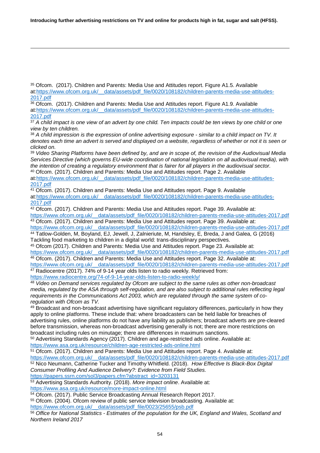-

<sup>35</sup> Ofcom. (2017). Children and Parents: Media Use and Attitudes report. Figure A1.5. Available at:https://www.ofcom.org.uk/ data/assets/pdf\_file/0020/108182/children-parents-media-use-attitudes-[2017.pdf](https://www.ofcom.org.uk/__data/assets/pdf_file/0020/108182/children-parents-media-use-attitudes-2017.pdf)

 $36$  Ofcom. (2017). Children and Parents: Media Use and Attitudes report. Figure A1.9. Available at[:https://www.ofcom.org.uk/\\_\\_data/assets/pdf\\_file/0020/108182/children-parents-media-use-attitudes-](https://www.ofcom.org.uk/__data/assets/pdf_file/0020/108182/children-parents-media-use-attitudes-2017.pdf)[2017.pdf](https://www.ofcom.org.uk/__data/assets/pdf_file/0020/108182/children-parents-media-use-attitudes-2017.pdf)

<sup>37</sup> A child impact is one view of an advert by one child. Ten impacts could be ten views by one child or one *view by ten children.*

<sup>38</sup> *A child impression is the expression of online advertising exposure - similar to a child impact on TV. It denotes each time an advert is served and displayed on a website, regardless of whether or not it is seen or clicked on.*

<sup>39</sup> *Video Sharing Platforms have been defined by, and are in scope of, the revision of the Audiovisual Media Services Directive (which governs EU-wide coordination of national legislation on all audiovisual media), with the intention of creating a regulatory environment that is fairer for all players in the audiovisual sector.* <sup>40</sup> Ofcom. (2017). Children and Parents: Media Use and Attitudes report. Page 2. Available

at[:https://www.ofcom.org.uk/\\_\\_data/assets/pdf\\_file/0020/108182/children-parents-media-use-attitudes-](https://www.ofcom.org.uk/__data/assets/pdf_file/0020/108182/children-parents-media-use-attitudes-2017.pdf)[2017.pdf](https://www.ofcom.org.uk/__data/assets/pdf_file/0020/108182/children-parents-media-use-attitudes-2017.pdf)

<sup>41</sup> Ofcom. (2017). Children and Parents: Media Use and Attitudes report. Page 9. Available

at[:https://www.ofcom.org.uk/\\_\\_data/assets/pdf\\_file/0020/108182/children-parents-media-use-attitudes-](https://www.ofcom.org.uk/__data/assets/pdf_file/0020/108182/children-parents-media-use-attitudes-2017.pdf)[2017.pdf](https://www.ofcom.org.uk/__data/assets/pdf_file/0020/108182/children-parents-media-use-attitudes-2017.pdf)

 $42$  Ofcom. (2017). Children and Parents: Media Use and Attitudes report. Page 39. Available at: https://www.ofcom.org.uk/ data/assets/pdf\_file/0020/108182/children-parents-media-use-attitudes-2017.pdf

<sup>43</sup> Ofcom. (2017). Children and Parents: Media Use and Attitudes report. Page 39. Available at: https://www.ofcom.org.uk/ data/assets/pdf\_file/0020/108182/children-parents-media-use-attitudes-2017.pdf <sup>44</sup> Tatlow-Golden, M, Boyland, EJ, Jewell, J, Zalnieriute, M, Handsley, E, Breda, J and Galea, G (2016)

Tackling food marketing to children in a digital world: trans-disciplinary perspectives. <sup>45</sup> Ofcom (2017). Children and Parents: Media Use and Attitudes report. Page 23. Available at:

[https://www.ofcom.org.uk/\\_\\_data/assets/pdf\\_file/0020/108182/children-parents-media-use-attitudes-2017.pdf](https://www.ofcom.org.uk/__data/assets/pdf_file/0020/108182/children-parents-media-use-attitudes-2017.pdf) <sup>46</sup> Ofcom. (2017). Children and Parents: Media Use and Attitudes report. Page 32. Available at:

[https://www.ofcom.org.uk/\\_\\_data/assets/pdf\\_file/0020/108182/children-parents-media-use-attitudes-2017.pdf](https://www.ofcom.org.uk/__data/assets/pdf_file/0020/108182/children-parents-media-use-attitudes-2017.pdf) <sup>47</sup> Radiocentre (2017). 74% of 9-14 year olds listen to radio weekly. Retrieved from:

<https://www.radiocentre.org/74-of-9-14-year-olds-listen-to-radio-weekly/>

<sup>48</sup> *Video on Demand services regulated by Ofcom are subject to the same rules as other non-broadcast media, regulated by the ASA through self-regulation, and are also subject to additional rules reflecting legal requirements in the Communications Act 2003, which are regulated through the same system of coregulation with Ofcom as TV.*

<sup>49</sup> Broadcast and non-broadcast advertising have significant regulatory differences, particularly in how they apply to online platforms. These include that: where broadcasters can be held liable for breaches of advertising rules, online platforms do not have any liability as publishers; broadcast adverts are pre-cleared before transmission, whereas non-broadcast advertising generally is not; there are more restrictions on broadcast including rules on minutage; there are differences in maximum sanctions.

<sup>50</sup> Advertising Standards Agency (2017). Children and age-restricted ads online. Available at:

<https://www.asa.org.uk/resource/children-age-restricted-ads-online.html>

<sup>51</sup> Ofcom. (2017). Children and Parents: Media Use and Attitudes report. Page 4. Available at:

[https://www.ofcom.org.uk/\\_\\_data/assets/pdf\\_file/0020/108182/children-parents-media-use-attitudes-2017.pdf](https://www.ofcom.org.uk/__data/assets/pdf_file/0020/108182/children-parents-media-use-attitudes-2017.pdf) <sup>52</sup> Nico Neumann, Catherine Tucker and Timothy Whitfield. (2018). *How Effective Is Black-Box Digital Consumer Profiling And Audience Delivery?: Evidence from Field Studies.*

[https://papers.ssrn.com/sol3/papers.cfm?abstract\\_id=3203131](https://papers.ssrn.com/sol3/papers.cfm?abstract_id=3203131)

<sup>53</sup> Advertising Standards Authority. (2018). *More impact online*. Available at: <https://www.asa.org.uk/resource/more-impact-online.html>

54 Ofcom. (2017). Public Service Broadcasting Annual Research Report 2017.

<sup>55</sup> Ofcom. (2004). Ofcom review of public service television broadcasting. Available at:

[https://www.ofcom.org.uk/\\_\\_data/assets/pdf\\_file/0023/25655/psb.pdf](https://www.ofcom.org.uk/__data/assets/pdf_file/0023/25655/psb.pdf)

<sup>56</sup> *Office for National Statistics - Estimates of the population for the UK, England and Wales, Scotland and Northern Ireland 2017*